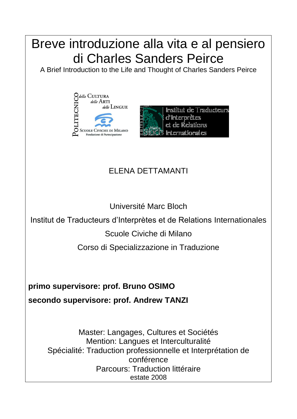

Mention: Langues et Interculturalité Spécialité: Traduction professionnelle et Interprétation de conférence Parcours: Traduction littéraire

estate 2008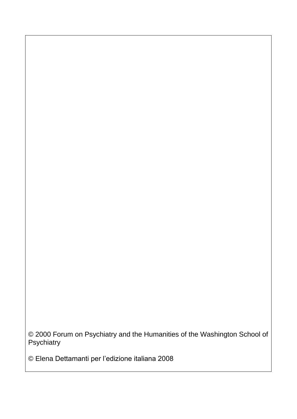© 2000 Forum on Psychiatry and the Humanities of the Washington School of **Psychiatry** 

© Elena Dettamanti per l'edizione italiana 2008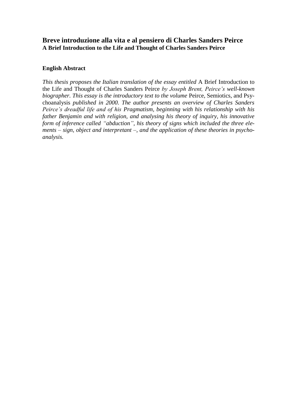## **Breve introduzione alla vita e al pensiero di Charles Sanders Peirce A Brief Introduction to the Life and Thought of Charles Sanders Peirce**

### **English Abstract**

*This thesis proposes the Italian translation of the essay entitled* A Brief Introduction to the Life and Thought of Charles Sanders Peirce *by Joseph Brent, Peirce's well-known biographer. This essay is the introductory text to the volume Peirce, Semiotics, and Psy*choanalysis *published in 2000. The author presents an overview of Charles Sanders Peirce's dreadful life and of his Pragmatism, beginning with his relationship with his father Benjamin and with religion, and analysing his theory of inquiry, his innovative form of inference called "abduction", his theory of signs which included the three elements – sign, object and interpretant –, and the application of these theories in psychoanalysis.*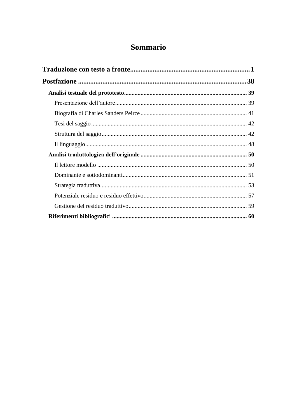# Sommario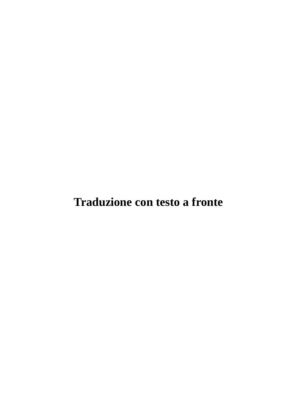<span id="page-5-0"></span>**Traduzione con testo a fronte**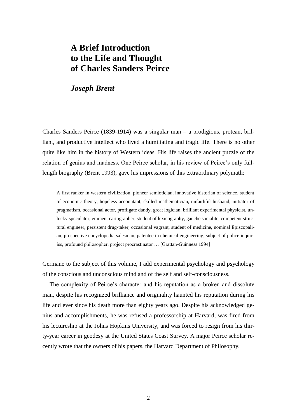# **A Brief Introduction to the Life and Thought of Charles Sanders Peirce**

## *Joseph Brent*

Charles Sanders Peirce (1839-1914) was a singular man – a prodigious, protean, brilliant, and productive intellect who lived a humiliating and tragic life. There is no other quite like him in the history of Western ideas. His life raises the ancient puzzle of the relation of genius and madness. One Peirce scholar, in his review of Peirce's only fulllength biography (Brent 1993), gave his impressions of this extraordinary polymath:

A first ranker in western civilization, pioneer semiotician, innovative historian of science, student of economic theory, hopeless accountant, skilled mathematician, unfaithful husband, initiator of pragmatism, occasional actor, profligate dandy, great logician, brilliant experimental physicist, unlucky speculator, eminent cartographer, student of lexicography, gauche socialite, competent structural engineer, persistent drug-taker, occasional vagrant, student of medicine, nominal Episcopalian, prospective encyclopedia salesman, patentee in chemical engineering, subject of police inquiries, profound philosopher, project procrastinator … [Grattan-Guinness 1994]

Germane to the subject of this volume, I add experimental psychology and psychology of the conscious and unconscious mind and of the self and self-consciousness.

The complexity of Peirce's character and his reputation as a broken and dissolute man, despite his recognized brilliance and originality haunted his reputation during his life and ever since his death more than eighty years ago. Despite his acknowledged genius and accomplishments, he was refused a professorship at Harvard, was fired from his lectureship at the Johns Hopkins University, and was forced to resign from his thirty-year career in geodesy at the United States Coast Survey. A major Peirce scholar recently wrote that the owners of his papers, the Harvard Department of Philosophy,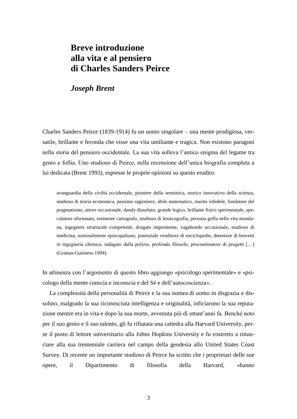# **Breve introduzione alla vita e al pensiero di Charles Sanders Peirce**

## *Joseph Brent*

Charles Sanders Peirce (1839-1914) fu un uomo singolare – una mente prodigiosa, versatile, brillante e feconda che visse una vita umiliante e tragica. Non esistono paragoni nella storia del pensiero occidentale. La sua vita solleva l'antico enigma del legame tra genio e follia. Uno studioso di Peirce, nella recensione dell'unica biografia completa a lui dedicata (Brent 1993), espresse le proprie opinioni su questo erudito:

avanguardia della civiltà occidentale, pioniere della semiotica, storico innovativo della scienza, studioso di teoria economica, pessimo ragioniere, abile matematico, marito infedele, fondatore del pragmatismo, attore occasionale, dandy dissoluto, grande logico, brillante fisico sperimentale, speculatore sfortunato, eminente cartografo, studioso di lessicografia, persona goffa nella vita mondana, ingegnere strutturale competente, drogato impenitente, vagabondo occasionale, studioso di medicina, nominalmente episcopaliano, potenziale venditore di enciclopedie, detentore di brevetti in ingegneria chimica, indagato dalla polizia, profondo filosofo, procrastinatore di progetti […] (Grattan-Guinness 1994).

In attinenza con l'argomento di questo libro aggiungo «psicologo sperimentale» e «psicologo della mente conscia e inconscia e del Sé e dell'autocoscienza».

La complessità della personalità di Peirce e la sua nomea di uomo in disgrazia e dissoluto, malgrado la sua riconosciuta intelligenza e originalità, inficiarono la sua reputazione mentre era in vita e dopo la sua morte, avvenuta più di ottant'anni fa. Benché noto per il suo genio e il suo talento, gli fu rifiutata una cattedra alla Harvard University, perse il posto di lettore universitario alla Johns Hopkins University e fu costretto a rinunciare alla sua trentennale carriera nel campo della geodesia allo United States Coast Survey. Di recente un importante studioso di Peirce ha scritto che i proprietari delle sue opere, il Dipartimento di filosofia della Harvard, «hanno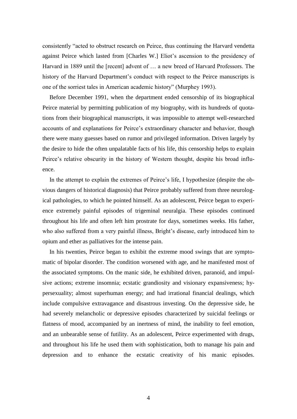consistently "acted to obstruct research on Peirce, thus continuing the Harvard vendetta against Peirce which lasted from [Charles W.] Eliot's ascension to the presidency of Harvard in 1889 until the [recent] advent of … a new breed of Harvard Professors. The history of the Harvard Department's conduct with respect to the Peirce manuscripts is one of the sorriest tales in American academic history" (Murphey 1993).

Before December 1991, when the department ended censorship of its biographical Peirce material by permitting publication of my biography, with its hundreds of quotations from their biographical manuscripts, it was impossible to attempt well-researched accounts of and explanations for Peirce's extraordinary character and behavior, though there were many guesses based on rumor and privileged information. Driven largely by the desire to hide the often unpalatable facts of his life, this censorship helps to explain Peirce's relative obscurity in the history of Western thought, despite his broad influence.

In the attempt to explain the extremes of Peirce's life, I hypothesize (despite the obvious dangers of historical diagnosis) that Peirce probably suffered from three neurological pathologies, to which he pointed himself. As an adolescent, Peirce began to experience extremely painful episodes of trigeminal neuralgia. These episodes continued throughout his life and often left him prostrate for days, sometimes weeks. His father, who also suffered from a very painful illness, Bright's disease, early introduced him to opium and ether as palliatives for the intense pain.

In his twenties, Peirce began to exhibit the extreme mood swings that are symptomatic of bipolar disorder. The condition worsened with age, and he manifested most of the associated symptoms. On the manic side, he exhibited driven, paranoid, and impulsive actions; extreme insomnia; ecstatic grandiosity and visionary expansiveness; hypersexuality; almost superhuman energy; and had irrational financial dealings, which include compulsive extravagance and disastrous investing. On the depressive side, he had severely melancholic or depressive episodes characterized by suicidal feelings or flatness of mood, accompanied by an inertness of mind, the inability to feel emotion, and an unbearable sense of futility. As an adolescent, Peirce experimented with drugs, and throughout his life he used them with sophistication, both to manage his pain and depression and to enhance the ecstatic creativity of his manic episodes.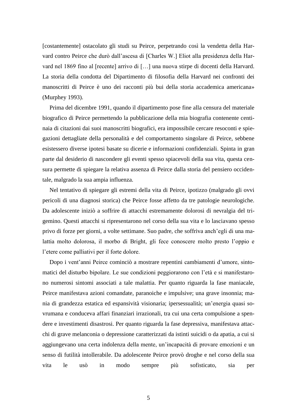[costantemente] ostacolato gli studi su Peirce, perpetrando così la vendetta della Harvard contro Peirce che durò dall'ascesa di [Charles W.] Eliot alla presidenza della Harvard nel 1869 fino al [recente] arrivo di […] una nuova stirpe di docenti della Harvard. La storia della condotta del Dipartimento di filosofia della Harvard nei confronti dei manoscritti di Peirce è uno dei racconti più bui della storia accademica americana» (Murphey 1993).

Prima del dicembre 1991, quando il dipartimento pose fine alla censura del materiale biografico di Peirce permettendo la pubblicazione della mia biografia contenente centinaia di citazioni dai suoi manoscritti biografici, era impossibile cercare resoconti e spiegazioni dettagliate della personalità e del comportamento singolare di Peirce, sebbene esistessero diverse ipotesi basate su dicerie e informazioni confidenziali. Spinta in gran parte dal desiderio di nascondere gli eventi spesso spiacevoli della sua vita, questa censura permette di spiegare la relativa assenza di Peirce dalla storia del pensiero occidentale, malgrado la sua ampia influenza.

Nel tentativo di spiegare gli estremi della vita di Peirce, ipotizzo (malgrado gli ovvi pericoli di una diagnosi storica) che Peirce fosse affetto da tre patologie neurologiche. Da adolescente iniziò a soffrire di attacchi estremamente dolorosi di nevralgia del trigemino. Questi attacchi si ripresentarono nel corso della sua vita e lo lasciavano spesso privo di forze per giorni, a volte settimane. Suo padre, che soffriva anch'egli di una malattia molto dolorosa, il morbo di Bright, gli fece conoscere molto presto l'oppio e l'etere come palliativi per il forte dolore.

Dopo i vent'anni Peirce cominciò a mostrare repentini cambiamenti d'umore, sintomatici del disturbo bipolare. Le sue condizioni peggiorarono con l'età e si manifestarono numerosi sintomi associati a tale malattia. Per quanto riguarda la fase maniacale, Peirce manifestava azioni comandate, paranoiche e impulsive; una grave insonnia; mania di grandezza estatica ed espansività visionaria; ipersessualità; un'energia quasi sovrumana e conduceva affari finanziari irrazionali, tra cui una certa compulsione a spendere e investimenti disastrosi. Per quanto riguarda la fase depressiva, manifestava attacchi di grave melanconia o depressione caratterizzati da istinti suicidi o da apatia, a cui si aggiungevano una certa indolenza della mente, un'incapacità di provare emozioni e un senso di futilità intollerabile. Da adolescente Peirce provò droghe e nel corso della sua vita le usò in modo sempre più sofisticato, sia per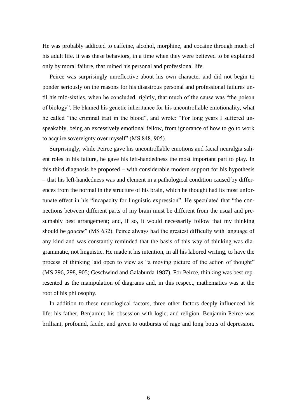He was probably addicted to caffeine, alcohol, morphine, and cocaine through much of his adult life. It was these behaviors, in a time when they were believed to be explained only by moral failure, that ruined his personal and professional life.

Peirce was surprisingly unreflective about his own character and did not begin to ponder seriously on the reasons for his disastrous personal and professional failures until his mid-sixties, when he concluded, rightly, that much of the cause was "the poison of biology". He blamed his genetic inheritance for his uncontrollable emotionality, what he called "the criminal trait in the blood", and wrote: "For long years I suffered unspeakably, being an excessively emotional fellow, from ignorance of how to go to work to acquire sovereignty over myself" (MS 848, 905).

Surprisingly, while Peirce gave his uncontrollable emotions and facial neuralgia salient roles in his failure, he gave his left-handedness the most important part to play. In this third diagnosis he proposed – with considerable modern support for his hypothesis – that his left-handedness was and element in a pathological condition caused by differences from the normal in the structure of his brain, which he thought had its most unfortunate effect in his "incapacity for linguistic expression". He speculated that "the connections between different parts of my brain must be different from the usual and presumably best arrangement; and, if so, it would necessarily follow that my thinking should be *gauche*" (MS 632). Peirce always had the greatest difficulty with language of any kind and was constantly reminded that the basis of this way of thinking was diagrammatic, not linguistic. He made it his intention, in all his labored writing, to have the process of thinking laid open to view as "a moving picture of the action of thought" (MS 296, 298, 905; Geschwind and Galaburda 1987). For Peirce, thinking was best represented as the manipulation of diagrams and, in this respect, mathematics was at the root of his philosophy.

In addition to these neurological factors, three other factors deeply influenced his life: his father, Benjamin; his obsession with logic; and religion. Benjamin Peirce was brilliant, profound, facile, and given to outbursts of rage and long bouts of depression.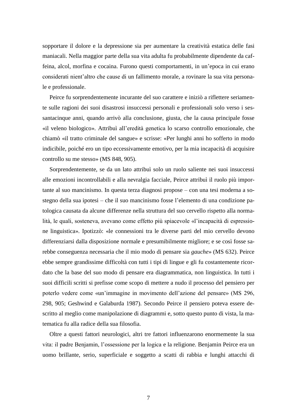sopportare il dolore e la depressione sia per aumentare la creatività estatica delle fasi maniacali. Nella maggior parte della sua vita adulta fu probabilmente dipendente da caffeina, alcol, morfina e cocaina. Furono questi comportamenti, in un'epoca in cui erano considerati nient'altro che cause di un fallimento morale, a rovinare la sua vita personale e professionale.

Peirce fu sorprendentemente incurante del suo carattere e iniziò a riflettere seriamente sulle ragioni dei suoi disastrosi insuccessi personali e professionali solo verso i sessantacinque anni, quando arrivò alla conclusione, giusta, che la causa principale fosse «il veleno biologico». Attribuì all'eredità genetica lo scarso controllo emozionale, che chiamò «il tratto criminale del sangue» e scrisse: «Per lunghi anni ho sofferto in modo indicibile, poiché ero un tipo eccessivamente emotivo, per la mia incapacità di acquisire controllo su me stesso» (MS 848, 905).

Sorprendentemente, se da un lato attribuì solo un ruolo saliente nei suoi insuccessi alle emozioni incontrollabili e alla nevralgia facciale, Peirce attribuì il ruolo più importante al suo mancinismo. In questa terza diagnosi propose – con una tesi moderna a sostegno della sua ipotesi – che il suo mancinismo fosse l'elemento di una condizione patologica causata da alcune differenze nella struttura del suo cervello rispetto alla normalità, le quali, sosteneva, avevano come effetto più spiacevole «l'incapacità di espressione linguistica». Ipotizzò: «le connessioni tra le diverse parti del mio cervello devono differenziarsi dalla disposizione normale e presumibilmente migliore; e se così fosse sarebbe conseguenza necessaria che il mio modo di pensare sia *gauche*» (MS 632). Peirce ebbe sempre grandissime difficoltà con tutti i tipi di lingue e gli fu costantemente ricordato che la base del suo modo di pensare era diagrammatica, non linguistica. In tutti i suoi difficili scritti si prefisse come scopo di mettere a nudo il processo del pensiero per poterlo vedere come «un'immagine in movimento dell'azione del pensare» (MS 296, 298, 905; Geshwind e Galaburda 1987). Secondo Peirce il pensiero poteva essere descritto al meglio come manipolazione di diagrammi e, sotto questo punto di vista, la matematica fu alla radice della sua filosofia.

Oltre a questi fattori neurologici, altri tre fattori influenzarono enormemente la sua vita: il padre Benjamin, l'ossessione per la logica e la religione. Benjamin Peirce era un uomo brillante, serio, superficiale e soggetto a scatti di rabbia e lunghi attacchi di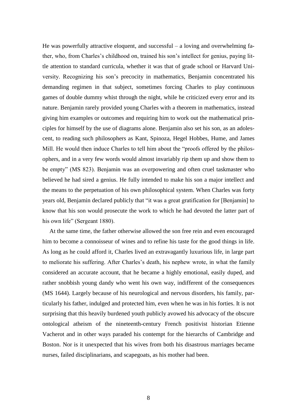He was powerfully attractive eloquent, and successful – a loving and overwhelming father, who, from Charles's childhood on, trained his son's intellect for genius, paying little attention to standard curricula, whether it was that of grade school or Harvard University. Recognizing his son's precocity in mathematics, Benjamin concentrated his demanding regimen in that subject, sometimes forcing Charles to play continuous games of double dummy whist through the night, while he criticized every error and its nature. Benjamin rarely provided young Charles with a theorem in mathematics, instead giving him examples or outcomes and requiring him to work out the mathematical principles for himself by the use of diagrams alone. Benjamin also set his son, as an adolescent, to reading such philosophers as Kant, Spinoza, Hegel Hobbes, Hume, and James Mill. He would then induce Charles to tell him about the "proofs offered by the philosophers, and in a very few words would almost invariably rip them up and show them to be empty" (MS 823). Benjamin was an overpowering and often cruel taskmaster who believed he had sired a genius. He fully intended to make his son a major intellect and the means to the perpetuation of his own philosophical system. When Charles was forty years old, Benjamin declared publicly that "it was a great gratification for [Benjamin] to know that his son would prosecute the work to which he had devoted the latter part of his own life" (Sergeant 1880).

At the same time, the father otherwise allowed the son free rein and even encouraged him to become a connoisseur of wines and to refine his taste for the good things in life. As long as he could afford it, Charles lived an extravagantly luxurious life, in large part to meliorate his suffering. After Charles's death, his nephew wrote, in what the family considered an accurate account, that he became a highly emotional, easily duped, and rather snobbish young dandy who went his own way, indifferent of the consequences (MS 1644). Largely because of his neurological and nervous disorders, his family, particularly his father, indulged and protected him, even when he was in his forties. It is not surprising that this heavily burdened youth publicly avowed his advocacy of the obscure ontological atheism of the nineteenth-century French positivist historian Etienne Vacherot and in other ways paraded his contempt for the hierarchs of Cambridge and Boston. Nor is it unexpected that his wives from both his disastrous marriages became nurses, failed disciplinarians, and scapegoats, as his mother had been.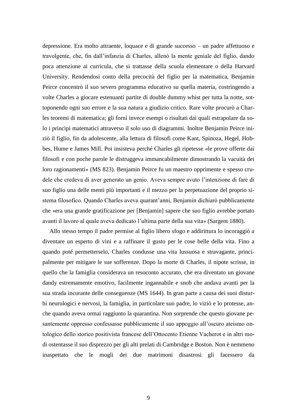depressione. Era molto attraente, loquace e di grande successo – un padre affettuoso e travolgente, che, fin dall'infanzia di Charles, allenò la mente geniale del figlio, dando poca attenzione ai curricula, che si trattasse della scuola elementare o della Harvard University. Rendendosi conto della precocità del figlio per la matematica, Benjamin Peirce concentrò il suo severo programma educativo su quella materia, costringendo a volte Charles a giocare estenuanti partite di double dummy whist per tutta la notte, sottoponendo ogni suo errore e la sua natura a giudizio critico. Rare volte procurò a Charles teoremi di matematica; gli fornì invece esempi o risultati dai quali estrapolare da solo i princìpi matematici attraverso il solo uso di diagrammi. Inoltre Benjamin Peirce iniziò il figlio, fin da adolescente, alla lettura di filosofi come Kant, Spinoza, Hegel, Hobbes, Hume e James Mill. Poi insisteva perché Charles gli ripetesse «le prove offerte dai filosofi e con poche parole le distruggeva immancabilmente dimostrando la vacuità dei loro ragionamenti» (MS 823). Benjamin Peirce fu un maestro opprimente e spesso crudele che credeva di aver generato un genio. Aveva sempre avuto l'intenzione di fare di suo figlio una delle menti più importanti e il mezzo per la perpetuazione del proprio sistema filosofico. Quando Charles aveva quarant'anni, Benjamin dichiarò pubblicamente che «era una grande gratificazione per [Benjamin] sapere che suo figlio avrebbe portato avanti il lavoro al quale aveva dedicato l'ultima parte della sua vita» (Sargent 1880).

Allo stesso tempo il padre permise al figlio libero sfogo e addirittura lo incoraggiò a diventare un esperto di vini e a raffinare il gusto per le cose belle della vita. Fino a quando poté permetterselo, Charles condusse una vita lussuosa e stravagante, principalmente per mitigare le sue sofferenze. Dopo la morte di Charles, il nipote scrisse, in quello che la famiglia considerava un resoconto accurato, che era diventato un giovane dandy estremamente emotivo, facilmente ingannabile e snob che andava avanti per la sua strada incurante delle conseguenze (MS 1644). In gran parte a causa dei suoi disturbi neurologici e nervosi, la famiglia, in particolare suo padre, lo viziò e lo protesse, anche quando aveva ormai raggiunto la quarantina. Non sorprende che questo giovane pesantemente oppresso confessasse pubblicamente il suo appoggio all'oscuro ateismo ontologico dello storico positivista francese dell'Ottocento Etienne Vacherot e in altri modi ostentasse il suo disprezzo per gli alti prelati di Cambridge e Boston. Non è nemmeno inaspettato che le mogli dei due matrimoni disastrosi gli facessero da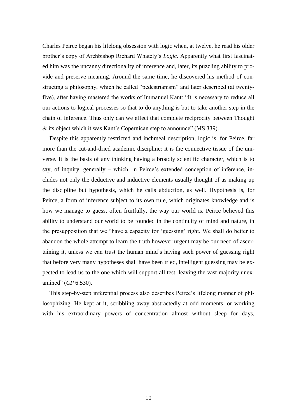Charles Peirce began his lifelong obsession with logic when, at twelve, he read his older brother's copy of Archbishop Richard Whately's *Logic*. Apparently what first fascinated him was the uncanny directionality of inference and, later, its puzzling ability to provide and preserve meaning. Around the same time, he discovered his method of constructing a philosophy, which he called "pedestrianism" and later described (at twentyfive), after having mastered the works of Immanuel Kant: "It is necessary to reduce all our actions to logical processes so that to do anything is but to take another step in the chain of inference. Thus only can we effect that complete reciprocity between Thought & its object which it was Kant's Copernican step to announce" (MS 339).

Despite this apparently restricted and inchmeal description, logic is, for Peirce, far more than the cut-and-dried academic discipline: it is the connective tissue of the universe. It is the basis of any thinking having a broadly scientific character, which is to say, of inquiry, generally – which, in Peirce's extended conception of inference, includes not only the deductive and inductive elements usually thought of as making up the discipline but hypothesis, which he calls abduction, as well. Hypothesis is, for Peirce, a form of inference subject to its own rule, which originates knowledge and is how we manage to guess, often fruitfully, the way our world is. Peirce believed this ability to understand our world to be founded in the continuity of mind and nature, in the presupposition that we "have a capacity for 'guessing' right. We shall do better to abandon the whole attempt to learn the truth however urgent may be our need of ascertaining it, unless we can trust the human mind's having such power of guessing right that before very many hypotheses shall have been tried, intelligent guessing may be expected to lead us to the one which will support all test, leaving the vast majority unexamined" (*CP* 6.530).

This step-by-step inferential process also describes Peirce's lifelong manner of philosophizing. He kept at it, scribbling away abstractedly at odd moments, or working with his extraordinary powers of concentration almost without sleep for days,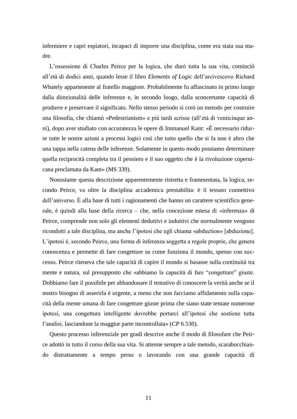infermiere e capri espiatori, incapaci di imporre una disciplina, come era stata sua madre.

L'ossessione di Charles Peirce per la logica, che durò tutta la sua vita, cominciò all'età di dodici anni, quando lesse il libro *Elements of Logic* dell'arcivescovo Richard Whately appartenente al fratello maggiore. Probabilmente fu affascinato in primo luogo dalla direzionalità delle inferenze e, in secondo luogo, dalla sconcertante capacità di produrre e preservare il significato. Nello stesso periodo si creò un metodo per costruire una filosofia, che chiamò «Pedestrianism» e più tardi scrisse (all'età di venticinque anni), dopo aver studiato con accuratezza le opere di Immanuel Kant: «È necessario ridurre tutte le nostre azioni a processi logici così che tutto quello che si fa non è altro che una tappa nella catena delle inferenze. Solamente in questo modo possiamo determinare quella reciprocità completa tra il pensiero e il suo oggetto che è la rivoluzione copernicana proclamata da Kant» (MS 339).

Nonostante questa descrizione apparentemente ristretta e frammentata, la logica, secondo Peirce, va oltre la disciplina accademica prestabilita: è il tessuto connettivo dell'universo. È alla base di tutti i ragionamenti che hanno un carattere scientifico generale, è quindi alla base della ricerca – che, nella concezione estesa di «inferenza» di Peirce, comprende non solo gli elementi deduttivi e induttivi che normalmente vengono ricondotti a tale disciplina, ma anche l'ipotesi che egli chiama «abduction» [abduzione]. L'ipotesi è, secondo Peirce, una forma di inferenza soggetta a regole proprie, che genera conoscenza e permette di fare congetture su come funziona il mondo, spesso con successo. Peirce riteneva che tale capacità di capire il mondo si basasse sulla continuità tra mente e natura, sul presupposto che «abbiamo la capacità di fare "congetture" giuste. Dobbiamo fare il possibile per abbandonare il tentativo di conoscere la verità anche se il nostro bisogno di asserirla è urgente, a meno che non facciamo affidamento sulla capacità della mente umana di fare congetture giuste prima che siano state tentate numerose ipotesi, una congettura intelligente dovrebbe portarci all'ipotesi che sostiene tutta l'analisi, lasciandone la maggior parte incontrollata» (*CP* 6.530).

Questo processo inferenziale per gradi descrive anche il modo di filosofare che Peirce adottò in tutto il corso della sua vita. Si attenne sempre a tale metodo, scarabocchiando distrattamente a tempo perso o lavorando con una grande capacità di

11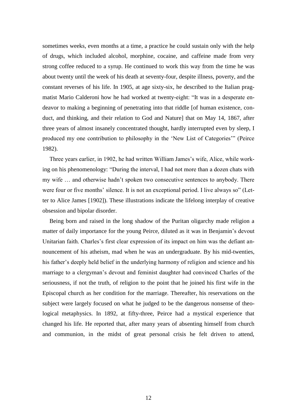sometimes weeks, even months at a time, a practice he could sustain only with the help of drugs, which included alcohol, morphine, cocaine, and caffeine made from very strong coffee reduced to a syrup. He continued to work this way from the time he was about twenty until the week of his death at seventy-four, despite illness, poverty, and the constant reverses of his life. In 1905, at age sixty-six, he described to the Italian pragmatist Mario Calderoni how he had worked at twenty-eight: "It was in a desperate endeavor to making a beginning of penetrating into that riddle [of human existence, conduct, and thinking, and their relation to God and Nature] that on May 14, 1867, after three years of almost insanely concentrated thought, hardly interrupted even by sleep, I produced my one contribution to philosophy in the 'New List of Categories'" (Peirce 1982).

Three years earlier, in 1902, he had written William James's wife, Alice, while working on his phenomenology: "During the interval, I had not more than a dozen chats with my wife … and otherwise hadn't spoken two consecutive sentences to anybody. There were four or five months' silence. It is not an exceptional period. I live always so" (Letter to Alice James [1902]). These illustrations indicate the lifelong interplay of creative obsession and bipolar disorder.

Being born and raised in the long shadow of the Puritan oligarchy made religion a matter of daily importance for the young Peirce, diluted as it was in Benjamin's devout Unitarian faith. Charles's first clear expression of its impact on him was the defiant announcement of his atheism, mad when he was an undergraduate. By his mid-twenties, his father's deeply held belief in the underlying harmony of religion and science and his marriage to a clergyman's devout and feminist daughter had convinced Charles of the seriousness, if not the truth, of religion to the point that he joined his first wife in the Episcopal church as her condition for the marriage. Thereafter, his reservations on the subject were largely focused on what he judged to be the dangerous nonsense of theological metaphysics. In 1892, at fifty-three, Peirce had a mystical experience that changed his life. He reported that, after many years of absenting himself from church and communion, in the midst of great personal crisis he felt driven to attend,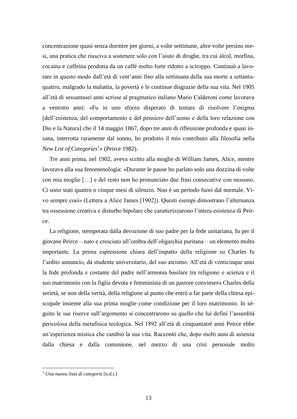concentrazione quasi senza dormire per giorni, a volte settimane, altre volte persino mesi, una pratica che riusciva a sostenere solo con l'aiuto di droghe, tra cui alcol, morfina, cocaina e caffeina prodotta da un caffé molto forte ridotto a sciroppo. Continuò a lavorare in questo modo dall'età di vent'anni fino alla settimana della sua morte a settantaquattro, malgrado la malattia, la povertà e le continue disgrazie della sua vita. Nel 1905 all'età di sessantasei anni scrisse al pragmatico italiano Mario Calderoni come lavorava a ventotto anni: «Fu in uno sforzo disperato di tentare di risolvere l'enigma [dell'esistenza, del comportamento e del pensiero dell'uomo e della loro relazione con Dio e la Natura] che il 14 maggio 1867, dopo tre anni di riflessione profonda e quasi insana, interrotta raramente dal sonno, ho prodotto il mio contributo alla filosofia nella *New List of Categories*<sup>1</sup> » (Peirce 1982).

Tre anni prima, nel 1902, aveva scritto alla moglie di William James, Alice, mentre lavorava alla sua fenomenologia: «Durante le pause ho parlato solo una dozzina di volte con mia moglie […] e del resto non ho pronunciato due frasi consecutive con nessuno. Ci sono stati quattro o cinque mesi di silenzio. Non è un periodo fuori dal normale. Vivo sempre così» (Lettera a Alice James [1902]). Questi esempi dimostrano l'alternanza tra ossessione creativa e disturbo bipolare che caratterizzarono l'intera esistenza di Peirce.

La religione, stemperata dalla devozione di suo padre per la fede unitariana, fu per il giovane Peirce – nato e cresciuto all'ombra dell'oligarchia puritana – un elemento molto importante. La prima espressione chiara dell'impatto della religione su Charles fu l'ardito annuncio, da studente universitario, del suo ateismo. All'età di venticinque anni la fede profonda e costante del padre nell'armonia basilare tra religione e scienza e il suo matrimonio con la figlia devota e femminista di un pastore convinsero Charles della serietà, se non della verità, della religione al punto che entrò a far parte della chiesa episcopale insieme alla sua prima moglie come condizione per il loro matrimonio. In séguito le sue riserve sull'argomento si concentrarono su quello che lui definì l'assurdità pericolosa della metafisica teologica. Nel 1892 all'età di cinquantatré anni Peirce ebbe un'esperienza mistica che cambiò la sua vita. Raccontò che, dopo molti anni di assenza dalla chiesa e dalla comunione, nel mezzo di una crisi personale molto

1

<sup>1</sup> *Una nuova lista di categorie* [n.d.t.]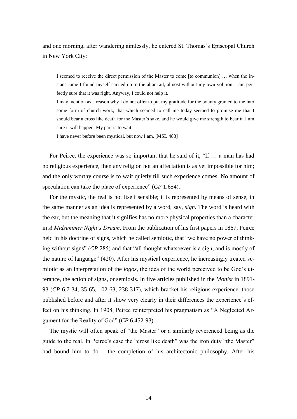and one morning, after wandering aimlessly, he entered St. Thomas's Episcopal Church in New York City:

I seemed to receive the direct permission of the Master to come [to communion] … when the instant came I found myself carried up to the altar rail, almost without my own volition. I am perfectly sure that it was right. Anyway, I could not help it.

I may mention as a reason why I do not offer to put my gratitude for the bounty granted to me into some form of church work, that which seemed to call me today seemed to promise me that I should bear a cross like death for the Master's sake, and he would give me strength to bear it. I am sure it will happen. My part is to wait.

I have never before been mystical, but now I am. [MSL 483]

For Peirce, the experience was so important that he said of it, "If … a man has had no religious experience, then any religion not an affectation is as yet impossible for him; and the only worthy course is to wait quietly till such experience comes. No amount of speculation can take the place of experience" (*CP* 1.654).

For the mystic, the real is not itself sensible; it is represented by means of sense, in the same manner as an idea is represented by a word, say, *sign*. The word is heard with the ear, but the meaning that it signifies has no more physical properties than a character in *A Midsummer Night's Dream*. From the publication of his first papers in 1867, Peirce held in his doctrine of signs, which he called semiotic, that "we have no power of thinking without signs" (*CP* 285) and that "all thought whatsoever is a sign, and is mostly of the nature of language" (420). After his mystical experience, he increasingly treated semiotic as an interpretation of the *logos*, the idea of the world perceived to be God's utterance, the action of signs, or semiosis. In five articles published in the *Monist* in 1891- 93 (*CP* 6.7-34, 35-65, 102-63, 238-317), which bracket his religious experience, those published before and after it show very clearly in their differences the experience's effect on his thinking. In 1908, Peirce reinterpreted his pragmatism as "A Neglected Argument for the Reality of God" (*CP* 6.452-93).

The mystic will often speak of "the Master" or a similarly reverenced being as the guide to the real. In Peirce's case the "cross like death" was the iron duty "the Master" had bound him to do – the completion of his architectonic philosophy. After his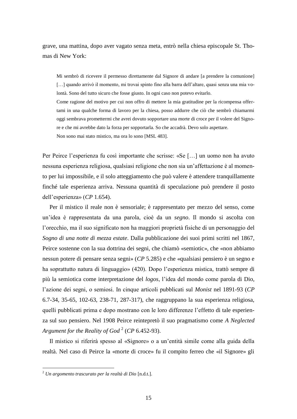grave, una mattina, dopo aver vagato senza meta, entrò nella chiesa episcopale St. Thomas di New York:

Mi sembrò di ricevere il permesso direttamente dal Signore di andare [a prendere la comunione] [...] quando arrivò il momento, mi trovai spinto fino alla barra dell'altare, quasi senza una mia volontà. Sono del tutto sicuro che fosse giusto. In ogni caso non potevo evitarlo.

Come ragione del motivo per cui non offro di mettere la mia gratitudine per la ricompensa offertami in una qualche forma di lavoro per la chiesa, posso addurre che ciò che sembrò chiamarmi oggi sembrava promettermi che avrei dovuto sopportare una morte di croce per il volere del Signore e che mi avrebbe dato la forza per sopportarla. So che accadrà. Devo solo aspettare. Non sono mai stato mistico, ma ora lo sono [MSL 483].

Per Peirce l'esperienza fu così importante che scrisse: «Se […] un uomo non ha avuto nessuna esperienza religiosa, qualsiasi religione che non sia un'affettazione è al momento per lui impossibile, e il solo atteggiamento che può valere è attendere tranquillamente finché tale esperienza arriva. Nessuna quantità di speculazione può prendere il posto dell'esperienza» (*CP* 1.654).

Per il mistico il reale non è sensoriale; è rappresentato per mezzo del senso, come un'idea è rappresentata da una parola, cioè da un *segno*. Il mondo si ascolta con l'orecchio, ma il suo significato non ha maggiori proprietà fisiche di un personaggio del *Sogno di una notte di mezza estate*. Dalla pubblicazione dei suoi primi scritti nel 1867, Peirce sostenne con la sua dottrina dei segni, che chiamò «semiotic», che «non abbiamo nessun potere di pensare senza segni» (*CP* 5.285) e che «qualsiasi pensiero è un segno e ha soprattutto natura di linguaggio» (420). Dopo l'esperienza mistica, trattò sempre di più la semiotica come interpretazione del *logos*, l'idea del mondo come parola di Dio, l'azione dei segni, o semiosi. In cinque articoli pubblicati sul *Monist* nel 1891-93 (*CP* 6.7-34, 35-65, 102-63, 238-71, 287-317), che raggruppano la sua esperienza religiosa, quelli pubblicati prima e dopo mostrano con le loro differenze l'effetto di tale esperienza sul suo pensiero. Nel 1908 Peirce reintepretò il suo pragmatismo come *A Neglected*  Argument for the Reality of God<sup>2</sup> (CP 6.452-93).

Il mistico si riferirà spesso al «Signore» o a un'entità simile come alla guida della realtà. Nel caso di Peirce la «morte di croce» fu il compito ferreo che «il Signore» gli

1

<sup>2</sup> *Un argomento trascurato per la realtà di Dio* [n.d.t.].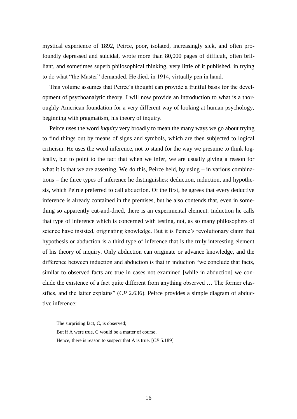mystical experience of 1892, Peirce, poor, isolated, increasingly sick, and often profoundly depressed and suicidal, wrote more than 80,000 pages of difficult, often brilliant, and sometimes superb philosophical thinking, very little of it published, in trying to do what "the Master" demanded. He died, in 1914, virtually pen in hand.

This volume assumes that Peirce's thought can provide a fruitful basis for the development of psychoanalytic theory. I will now provide an introduction to what is a thoroughly American foundation for a very different way of looking at human psychology, beginning with pragmatism, his theory of inquiry.

Peirce uses the word *inquiry* very broadly to mean the many ways we go about trying to find things out by means of signs and symbols, which are then subjected to logical criticism. He uses the word inference, not to stand for the way we presume to think logically, but to point to the fact that when we infer, we are usually giving a reason for what it is that we are asserting. We do this, Peirce held, by using – in various combinations – the three types of inference he distinguishes: deduction, induction, and hypothesis, which Peirce preferred to call abduction. Of the first, he agrees that every deductive inference is already contained in the premises, but he also contends that, even in something so apparently cut-and-dried, there is an experimental element. Induction he calls that type of inference which is concerned with testing, not, as so many philosophers of science have insisted, originating knowledge. But it is Peirce's revolutionary claim that hypothesis or abduction is a third type of inference that is the truly interesting element of his theory of inquiry. Only abduction can originate or advance knowledge, and the difference between induction and abduction is that in induction "we conclude that facts, similar to observed facts are true in cases not examined [while in abduction] we conclude the existence of a fact quite different from anything observed … The former classifies, and the latter explains" (*CP* 2.636). Peirce provides a simple diagram of abductive inference:

The surprising fact, C, is observed; But if A were true, C would be a matter of course, Hence, there is reason to suspect that A is true. [*CP* 5.189]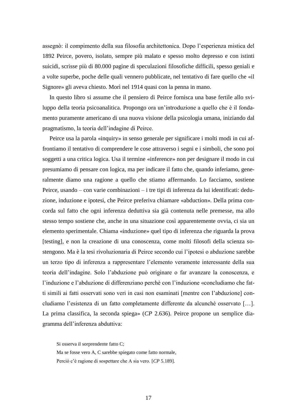assegnò: il compimento della sua filosofia architettonica. Dopo l'esperienza mistica del 1892 Peirce, povero, isolato, sempre più malato e spesso molto depresso e con istinti suicidi, scrisse più di 80.000 pagine di speculazioni filosofiche difficili, spesso geniali e a volte superbe, poche delle quali vennero pubblicate, nel tentativo di fare quello che «il Signore» gli aveva chiesto. Morì nel 1914 quasi con la penna in mano.

In questo libro si assume che il pensiero di Peirce fornisca una base fertile allo sviluppo della teoria psicoanalitica. Propongo ora un'introduzione a quello che è il fondamento puramente americano di una nuova visione della psicologia umana, iniziando dal pragmatismo, la teoria dell'indagine di Peirce.

Peirce usa la parola «inquiry» in senso generale per significare i molti modi in cui affrontiamo il tentativo di comprendere le cose attraverso i segni e i simboli, che sono poi soggetti a una critica logica. Usa il termine «inference» non per designare il modo in cui presumiamo di pensare con logica, ma per indicare il fatto che, quando inferiamo, generalmente diamo una ragione a quello che stiamo affermando. Lo facciamo, sostiene Peirce, usando – con varie combinazioni – i tre tipi di inferenza da lui identificati: deduzione, induzione e ipotesi, che Peirce preferiva chiamare «abduction». Della prima concorda sul fatto che ogni inferenza deduttiva sia già contenuta nelle premesse, ma allo stesso tempo sostiene che, anche in una situazione così apparentemente ovvia, ci sia un elemento sperimentale. Chiama «induzione» quel tipo di inferenza che riguarda la prova [testing], e non la creazione di una conoscenza, come molti filosofi della scienza sostengono. Ma è la tesi rivoluzionaria di Peirce secondo cui l'ipotesi o abduzione sarebbe un terzo tipo di inferenza a rappresentare l'elemento veramente interessante della sua teoria dell'indagine. Solo l'abduzione può originare o far avanzare la conoscenza, e l'induzione e l'abduzione di differenziano perchè con l'induzione «concludiamo che fatti simili ai fatti osservati sono veri in casi non esaminati [mentre con l'abduzione] concludiamo l'esistenza di un fatto completamente differente da alcunché osservato […]. La prima classifica, la seconda spiega» (*CP* 2.636). Peirce propone un semplice diagramma dell'inferenza abduttiva:

Si osserva il sorprendente fatto C; Ma se fosse vero A, C sarebbe spiegato come fatto normale, Perciò c'è ragione di sospettare che A sia vero. [*CP* 5.189].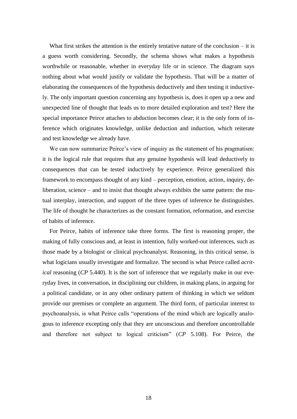What first strikes the attention is the entirely tentative nature of the conclusion  $-$  it is a guess worth considering. Secondly, the schema shows what makes a hypothesis worthwhile or reasonable, whether in everyday life or in science. The diagram says nothing about what would justify or validate the hypothesis. That will be a matter of elaborating the consequences of the hypothesis deductively and then testing it inductively. The only important question concerning any hypothesis is, does it open up a new and unexpected line of thought that leads us to more detailed exploration and test? Here the special importance Peirce attaches to abduction becomes clear; it is the only form of inference which originates knowledge, unlike deduction and induction, which reiterate and test knowledge we already have.

We can now summarize Peirce's view of inquiry as the statement of his pragmatism: it is the logical rule that requires that any genuine hypothesis will lead deductively to consequences that can be tested inductively by experience. Peirce generalized this framework to encompass thought of any kind – perception, emotion, action, inquiry, deliberation, science – and to insist that thought always exhibits the same pattern: the mutual interplay, interaction, and support of the three types of inference he distinguishes. The life of thought he characterizes as the constant formation, reformation, and exercise of habits of inference.

For Peirce, habits of inference take three forms. The first is reasoning proper, the making of fully conscious and, at least in intention, fully worked-out inferences, such as those made by a biologist or clinical psychoanalyst. Reasoning, in this critical sense, is what logicians usually investigate and formalize. The second is what Peirce called *acritical* reasoning (*CP* 5.440). It is the sort of inference that we regularly make in our everyday lives, in conversation, in disciplining our children, in making plans, in arguing for a political candidate, or in any other ordinary pattern of thinking in which we seldom provide our premises or complete an argument. The third form, of particular interest to psychoanalysis, is what Peirce calls "operations of the mind which are logically analogous to inference excepting only that they are unconscious and therefore uncontrollable and therefore not subject to logical criticism" (*CP* 5.108). For Peirce, the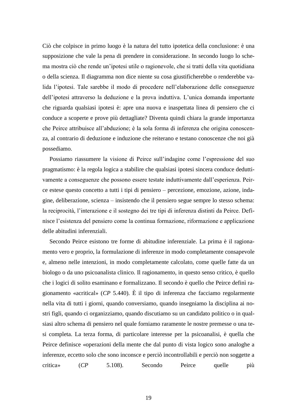Ciò che colpisce in primo luogo è la natura del tutto ipotetica della conclusione: è una supposizione che vale la pena di prendere in considerazione. In secondo luogo lo schema mostra ciò che rende un'ipotesi utile o ragionevole, che si tratti della vita quotidiana o della scienza. Il diagramma non dice niente su cosa giustificherebbe o renderebbe valida l'ipotesi. Tale sarebbe il modo di procedere nell'elaborazione delle conseguenze dell'ipotesi attraverso la deduzione e la prova induttiva. L'unica domanda importante che riguarda qualsiasi ipotesi è: apre una nuova e inaspettata linea di pensiero che ci conduce a scoperte e prove più dettagliate? Diventa quindi chiara la grande importanza che Peirce attribuisce all'abduzione; è la sola forma di inferenza che origina conoscenza, al contrario di deduzione e induzione che reiterano e testano conoscenze che noi già possediamo.

Possiamo riassumere la visione di Peirce sull'indagine come l'espressione del suo pragmatismo: è la regola logica a stabilire che qualsiasi ipotesi sincera conduce deduttivamente a conseguenze che possono essere testate induttivamente dall'esperienza. Peirce estese questo concetto a tutti i tipi di pensiero – percezione, emozione, azione, indagine, deliberazione, scienza – insistendo che il pensiero segue sempre lo stesso schema: la reciprocità, l'interazione e il sostegno dei tre tipi di inferenza distinti da Peirce. Definisce l'esistenza del pensiero come la continua formazione, riformazione e applicazione delle abitudini inferenziali.

Secondo Peirce esistono tre forme di abitudine inferenziale. La prima è il ragionamento vero e proprio, la formulazione di inferenze in modo completamente consapevole e, almeno nelle intenzioni, in modo completamente calcolato, come quelle fatte da un biologo o da uno psicoanalista clinico. Il ragionamento, in questo senso critico, è quello che i logici di solito esaminano e formalizzano. Il secondo è quello che Peirce definì ragionamento «acritical» (*CP* 5.440). È il tipo di inferenza che facciamo regolarmente nella vita di tutti i giorni, quando conversiamo, quando insegniamo la disciplina ai nostri figli, quando ci organizziamo, quando discutiamo su un candidato politico o in qualsiasi altro schema di pensiero nel quale forniamo raramente le nostre premesse o una tesi completa. La terza forma, di particolare interesse per la psicoanalisi, è quella che Peirce definisce «operazioni della mente che dal punto di vista logico sono analoghe a inferenze, eccetto solo che sono inconsce e perciò incontrollabili e perciò non soggette a critica» (*CP* 5.108). Secondo Peirce quelle più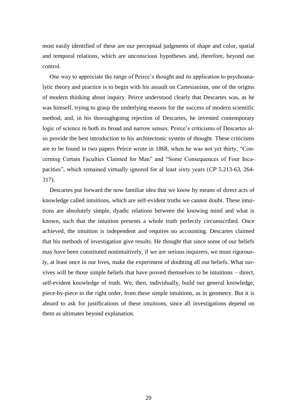most easily identified of these are our perceptual judgments of shape and color, spatial and temporal relations, which are unconscious hypotheses and, therefore, beyond our control.

One way to appreciate the range of Peirce's thought and its application to psychoanalytic theory and practice is to begin with his assault on Cartesianism, one of the origins of modern thinking about inquiry. Peirce understood clearly that Descartes was, as he was himself, trying to grasp the underlying reasons for the success of modern scientific method, and, in his thoroughgoing rejection of Descartes, he invented contemporary logic of science in both its broad and narrow senses. Peirce's criticisms of Descartes also provide the best introduction to his architectonic system of thought. These criticisms are to be found in two papers Peirce wrote in 1868, when he was not yet thirty, "Concerning Certain Faculties Claimed for Man" and "Some Consequences of Four Incapacities", which remained virtually ignored for al least sixty years (*CP* 5.213-63, 264- 317).

Descartes put forward the now familiar idea that we know by means of direct acts of knowledge called intuitions, which are self-evident truths we cannot doubt. These intuitions are absolutely simple, dyadic relations between the knowing mind and what is known, such that the intuition presents a whole truth perfectly circumscribed. Once achieved, the intuition is independent and requires no accounting. Descartes claimed that his methods of investigation give results. He thought that since some of our beliefs may have been constituted nonintuitively, if we are serious inquirers, we must rigorously, at least once in our lives, make the experiment of doubting all our beliefs. What survives will be those simple beliefs that have proved themselves to be intuitions – direct, self-evident knowledge of truth. We, then, individually, build our general knowledge, piece-by-piece in the right order, from these simple intuitions, as in geometry. But it is absurd to ask for justifications of these intuitions, since all investigations depend on them as ultimates beyond explanation.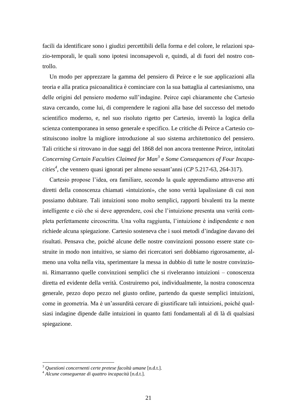facili da identificare sono i giudizi percettibili della forma e del colore, le relazioni spazio-temporali, le quali sono ipotesi inconsapevoli e, quindi, al di fuori del nostro controllo.

Un modo per apprezzare la gamma del pensiero di Peirce e le sue applicazioni alla teoria e alla pratica psicoanalitica è cominciare con la sua battaglia al cartesianismo, una delle origini del pensiero moderno sull'indagine. Peirce capì chiaramente che Cartesio stava cercando, come lui, di comprendere le ragioni alla base del successo del metodo scientifico moderno, e, nel suo risoluto rigetto per Cartesio, inventò la logica della scienza contemporanea in senso generale e specifico. Le critiche di Peirce a Cartesio costituiscono inoltre la migliore introduzione al suo sistema architettonico del pensiero. Tali critiche si ritrovano in due saggi del 1868 del non ancora trentenne Peirce, intitolati *Concerning Certain Faculties Claimed for Man<sup>3</sup>* e *Some Consequences of Four Incapacities<sup>4</sup>* , che vennero quasi ignorati per almeno sessant'anni (*CP* 5.217-63, 264-317).

Cartesio propose l'idea, ora familiare, secondo la quale apprendiamo attraverso atti diretti della conoscenza chiamati «intuizioni», che sono verità lapalissiane di cui non possiamo dubitare. Tali intuizioni sono molto semplici, rapporti bivalenti tra la mente intelligente e ciò che si deve apprendere, così che l'intuizione presenta una verità completa perfettamente circoscritta. Una volta raggiunta, l'intuizione è indipendente e non richiede alcuna spiegazione. Cartesio sosteneva che i suoi metodi d'indagine davano dei risultati. Pensava che, poiché alcune delle nostre convinzioni possono essere state costruite in modo non intuitivo, se siamo dei ricercatori seri dobbiamo rigorosamente, almeno una volta nella vita, sperimentare la messa in dubbio di tutte le nostre convinzioni. Rimarranno quelle convinzioni semplici che si riveleranno intuizioni – conoscenza diretta ed evidente della verità. Costruiremo poi, individualmente, la nostra conoscenza generale, pezzo dopo pezzo nel giusto ordine, partendo da queste semplici intuizioni, come in geometria. Ma è un'assurdità cercare di giustificare tali intuizioni, poiché qualsiasi indagine dipende dalle intuizioni in quanto fatti fondamentali al di là di qualsiasi spiegazione.

<u>.</u>

<sup>3</sup> *Questioni concernenti certe pretese facoltà umane* [n.d.t.].

<sup>4</sup> *Alcune conseguenze di quattro incapacità* [n.d.t.].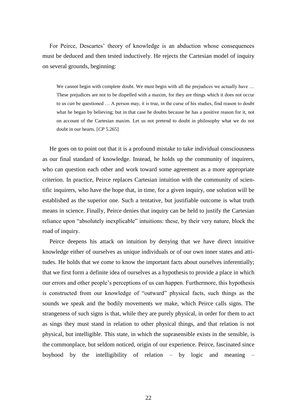For Peirce, Descartes' theory of knowledge is an abduction whose consequences must be deduced and then tested inductively. He rejects the Cartesian model of inquiry on several grounds, beginning:

We cannot begin with complete doubt. We must begin with all the prejudices we actually have ... These prejudices are not to be dispelled with a maxim, for they are things which it does not occur to us *can* be questioned … A person may, it is true, in the curse of his studies, find reason to doubt what he began by believing; but in that case he doubts because he has a positive reason for it, not on account of the Cartesian maxim. Let us not pretend to doubt in philosophy what we do not doubt in our hearts. [*CP* 5.265]

He goes on to point out that it is a profound mistake to take individual consciousness as our final standard of knowledge. Instead, he holds up the community of inquirers, who can question each other and work toward some agreement as a more appropriate criterion. In practice, Peirce replaces Cartesian intuition with the community of scientific inquirers, who have the hope that, in time, for a given inquiry, one solution will be established as the superior one. Such a tentative, but justifiable outcome is what truth means in science. Finally, Peirce denies that inquiry can be held to justify the Cartesian reliance upon "absolutely inexplicable" intuitions: these, by their very nature, block the road of inquiry.

Peirce deepens his attack on intuition by denying that we have direct intuitive knowledge either of ourselves as unique individuals or of our own inner states and attitudes. He holds that we come to know the important facts about ourselves inferentially; that we first form a definite idea of ourselves as a hypothesis to provide a place in which our errors and other people's perceptions of us can happen. Furthermore, this hypothesis is constructed from our knowledge of "outward" physical facts, such things as the sounds we speak and the bodily movements we make, which Peirce calls signs. The strangeness of such signs is that, while they are purely physical, in order for them to act as sings they must stand in relation to other physical things, and that relation is not physical, but intelligible. This state, in which the suprasensible exists in the sensible, is the commonplace, but seldom noticed, origin of our experience. Peirce, fascinated since boyhood by the intelligibility of relation – by logic and meaning –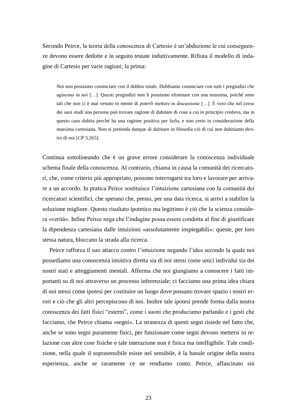Secondo Peirce, la teoria della conoscenza di Cartesio è un'abduzione le cui conseguenze devono essere dedotte e in seguito testate induttivamente. Rifiuta il modello di indagine di Cartesio per varie ragioni; la prima:

Noi non possiamo cominciare con il dubbio totale. Dobbiamo cominciare con tutti i pregiudizi che agiscono in noi […]. Questi pregiudizi non li possiamo eliminare con una massima, poiché sono tali che non ci è mai venuto in mente di *poterli* mettere in discussione […]. È vero che nel corso dei suoi studi una persona può trovare ragione di dubitare di cose a cui in principio credeva, ma in questo caso dubita perché ha una ragione positiva per farlo, e non certo in considerazione della massima cartesiana. Non si pretenda dunque di dubitare in filosofia ciò di cui non dubitiamo dentro di noi [*CP* 5.265].

Continua sottolineando che è un grave errore considerare la conoscenza individuale schema finale della conoscenza. Al contrario, chiama in causa la comunità dei ricercatori, che, come criterio più appropriato, possono interrogarsi tra loro e lavorare per arrivare a un accordo. In pratica Peirce sostituisce l'intuizione cartesiana con la comunità dei ricercatori scientifici, che sperano che, presto, per una data ricerca, si arrivi a stabilire la soluzione migliore. Questo risultato ipotetico ma legittimo è ciò che la scienza considera «verità». Infine Peirce nega che l'indagine possa essere condotta al fine di giustificare la dipendenza cartesiana dalle intuizioni «assolutamente inspiegabili»: queste, per loro stessa natura, bloccano la strada alla ricerca.

Peirce rafforza il suo attacco contro l'intuizione negando l'idea secondo la quale noi possediamo una conoscenza intuitiva diretta sia di noi stessi come unici individui sia dei nostri stati e atteggiamenti mentali. Afferma che noi giungiamo a conoscere i fatti importanti su di noi attraverso un processo inferenziale; ci facciamo una prima idea chiara di noi stessi come ipotesi per costituire un luogo dove possano trovare spazio i nostri errori e ciò che gli altri percepiscono di noi. Inoltre tale ipotesi prende forma dalla nostra conoscenza dei fatti fisici "esterni", come i suoni che produciamo parlando e i gesti che facciamo, che Peirce chiama «segni». La stranezza di questi segni risiede nel fatto che, anche se sono segni puramente fisici, per funzionare come segni devono mettersi in relazione con altre cose fisiche e tale interazione non è fisica ma intelligibile. Tale condizione, nella quale il soprasensibile esiste nel sensibile, è la banale origine della nostra esperienza, anche se raramente ce ne rendiamo conto. Peirce, affascinato sin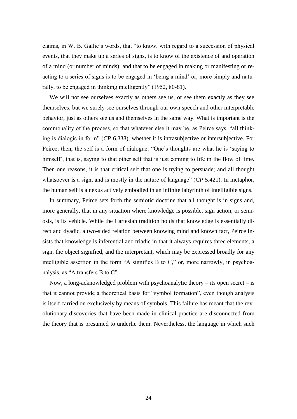claims, in W. B. Gallie's words, that "to know, with regard to a succession of physical events, that they make up a series of signs, is to know of the existence of and operation of a mind (or number of minds); and that to be engaged in making or manifesting or reacting to a series of signs is to be engaged in 'being a mind' or, more simply and naturally, to be engaged in thinking intelligently" (1952, 80-81).

We will not see ourselves exactly as others see us, or see them exactly as they see themselves, but we surely see ourselves through our own speech and other interpretable behavior, just as others see us and themselves in the same way. What is important is the commonality of the process, so that whatever else it may be, as Peirce says, "all thinking is dialogic in form" (*CP* 6.338), whether it is intrasubjective or intersubjective. For Peirce, then, the self is a form of dialogue: "One's thoughts are what he is 'saying to himself<sup>\*</sup>, that is, saying to that other self that is just coming to life in the flow of time. Then one reasons, it is that critical self that one is trying to persuade; and all thought whatsoever is a sign, and is mostly in the nature of language" (*CP* 5.421). In metaphor, the human self is a nexus actively embodied in an infinite labyrinth of intelligible signs.

In summary, Peirce sets forth the semiotic doctrine that all thought is in signs and, more generally, that in any situation where knowledge is possible, sign action, or semiosis, is its vehicle. While the Cartesian tradition holds that knowledge is essentially direct and dyadic, a two-sided relation between knowing mind and known fact, Peirce insists that knowledge is inferential and triadic in that it always requires three elements, a sign, the object signified, and the interpretant, which may be expressed broadly for any intelligible assertion in the form "A signifies B to C," or, more narrowly, in psychoanalysis, as "A transfers B to C".

Now, a long-acknowledged problem with psychoanalytic theory – its open secret – is that it cannot provide a theoretical basis for "symbol formation", even though analysis is itself carried on exclusively by means of symbols. This failure has meant that the revolutionary discoveries that have been made in clinical practice are disconnected from the theory that is presumed to underlie them. Nevertheless, the language in which such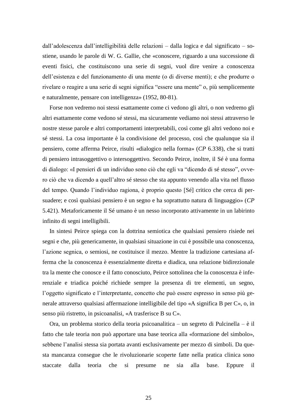dall'adolescenza dall'intelligibilità delle relazioni – dalla logica e dal significato – sostiene, usando le parole di W. G. Gallie, che «conoscere, riguardo a una successione di eventi fisici, che costituiscono una serie di segni, vuol dire venire a conoscenza dell'esistenza e del funzionamento di una mente (o di diverse menti); e che produrre o rivelare o reagire a una serie di segni significa "essere una mente" o, più semplicemente e naturalmente, pensare con intelligenza» (1952, 80-81).

Forse non vedremo noi stessi esattamente come ci vedono gli altri, o non vedremo gli altri esattamente come vedono sé stessi, ma sicuramente vediamo noi stessi attraverso le nostre stesse parole e altri comportamenti interpretabili, così come gli altri vedono noi e sé stessi. La cosa importante è la condivisione del processo, così che qualunque sia il pensiero, come afferma Peirce, risulti «dialogico nella forma» (*CP* 6.338), che si tratti di pensiero intrasoggettivo o intersoggettivo. Secondo Peirce, inoltre, il Sé è una forma di dialogo: «I pensieri di un individuo sono ciò che egli va "dicendo di sé stesso", ovvero ciò che va dicendo a quell'altro sé stesso che sta appunto venendo alla vita nel flusso del tempo. Quando l'individuo ragiona, è proprio questo [Sé] critico che cerca di persuadere; e così qualsiasi pensiero è un segno e ha soprattutto natura di linguaggio» (*CP* 5.421). Metaforicamente il Sé umano è un nesso incorporato attivamente in un labirinto infinito di segni intelligibili.

In sintesi Peirce spiega con la dottrina semiotica che qualsiasi pensiero risiede nei segni e che, più genericamente, in qualsiasi situazione in cui è possibile una conoscenza, l'azione segnica, o semiosi, ne costituisce il mezzo. Mentre la tradizione cartesiana afferma che la conoscenza è essenzialmente diretta e diadica, una relazione bidirezionale tra la mente che conosce e il fatto conosciuto, Peirce sottolinea che la conoscenza è inferenziale e triadica poiché richiede sempre la presenza di tre elementi, un segno, l'oggetto significato e l'interpretante, concetto che può essere espresso in senso più generale attraverso qualsiasi affermazione intelligibile del tipo «A significa B per C», o, in senso più ristretto, in psicoanalisi, «A trasferisce B su C».

Ora, un problema storico della teoria psicoanalitica – un segreto di Pulcinella – è il fatto che tale teoria non può apportare una base teorica alla «formazione del simbolo», sebbene l'analisi stessa sia portata avanti esclusivamente per mezzo di simboli. Da questa mancanza consegue che le rivoluzionarie scoperte fatte nella pratica clinica sono staccate dalla teoria che si presume ne sia alla base. Eppure il

25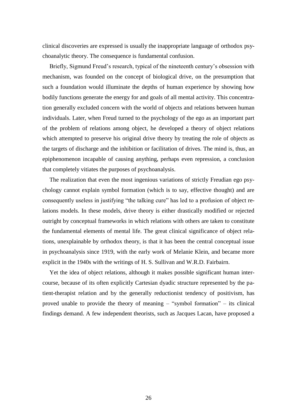clinical discoveries are expressed is usually the inappropriate language of orthodox psychoanalytic theory. The consequence is fundamental confusion.

Briefly, Sigmund Freud's research, typical of the nineteenth century's obsession with mechanism, was founded on the concept of biological drive, on the presumption that such a foundation would illuminate the depths of human experience by showing how bodily functions generate the energy for and goals of all mental activity. This concentration generally excluded concern with the world of objects and relations between human individuals. Later, when Freud turned to the psychology of the ego as an important part of the problem of relations among object, he developed a theory of object relations which attempted to preserve his original drive theory by treating the role of objects as the targets of discharge and the inhibition or facilitation of drives. The mind is, thus, an epiphenomenon incapable of causing anything, perhaps even repression, a conclusion that completely vitiates the purposes of psychoanalysis.

The realization that even the most ingenious variations of strictly Freudian ego psychology cannot explain symbol formation (which is to say, effective thought) and are consequently useless in justifying "the talking cure" has led to a profusion of object relations models. In these models, drive theory is either drastically modified or rejected outright by conceptual frameworks in which relations with others are taken to constitute the fundamental elements of mental life. The great clinical significance of object relations, unexplainable by orthodox theory, is that it has been the central conceptual issue in psychoanalysis since 1919, with the early work of Melanie Klein, and became more explicit in the 1940s with the writings of H. S. Sullivan and W.R.D. Fairbairn.

Yet the idea of object relations, although it makes possible significant human intercourse, because of its often explicitly Cartesian dyadic structure represented by the patient-therapist relation and by the generally reductionist tendency of positivism, has proved unable to provide the theory of meaning – "symbol formation" – its clinical findings demand. A few independent theorists, such as Jacques Lacan, have proposed a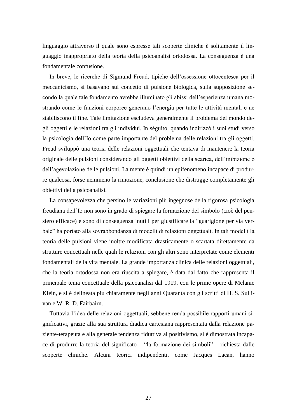linguaggio attraverso il quale sono espresse tali scoperte cliniche è solitamente il linguaggio inappropriato della teoria della psicoanalisi ortodossa. La conseguenza è una fondamentale confusione.

In breve, le ricerche di Sigmund Freud, tipiche dell'ossessione ottocentesca per il meccanicismo, si basavano sul concetto di pulsione biologica, sulla supposizione secondo la quale tale fondamento avrebbe illuminato gli abissi dell'esperienza umana mostrando come le funzioni corporee generano l'energia per tutte le attività mentali e ne stabiliscono il fine. Tale limitazione escludeva generalmente il problema del mondo degli oggetti e le relazioni tra gli individui. In séguito, quando indirizzò i suoi studi verso la psicologia dell'Io come parte importante del problema delle relazioni tra gli oggetti, Freud sviluppò una teoria delle relazioni oggettuali che tentava di mantenere la teoria originale delle pulsioni considerando gli oggetti obiettivi della scarica, dell'inibizione o dell'agevolazione delle pulsioni. La mente è quindi un epifenomeno incapace di produrre qualcosa, forse nemmeno la rimozione, conclusione che distrugge completamente gli obiettivi della psicoanalisi.

La consapevolezza che persino le variazioni più ingegnose della rigorosa psicologia freudiana dell'Io non sono in grado di spiegare la formazione del simbolo (cioè del pensiero efficace) e sono di conseguenza inutili per giustificare la "guarigione per via verbale" ha portato alla sovrabbondanza di modelli di relazioni oggettuali. In tali modelli la teoria delle pulsioni viene inoltre modificata drasticamente o scartata direttamente da strutture concettuali nelle quali le relazioni con gli altri sono interpretate come elementi fondamentali della vita mentale. La grande importanza clinica delle relazioni oggettuali, che la teoria ortodossa non era riuscita a spiegare, è data dal fatto che rappresenta il principale tema concettuale della psicoanalisi dal 1919, con le prime opere di Melanie Klein, e si è delineata più chiaramente negli anni Quaranta con gli scritti di H. S. Sullivan e W. R. D. Fairbairn.

Tuttavia l'idea delle relazioni oggettuali, sebbene renda possibile rapporti umani significativi, grazie alla sua struttura diadica cartesiana rappresentata dalla relazione paziente-terapeuta e alla generale tendenza riduttiva al positivismo, si è dimostrata incapace di produrre la teoria del significato – "la formazione dei simboli" – richiesta dalle scoperte cliniche. Alcuni teorici indipendenti, come Jacques Lacan, hanno

27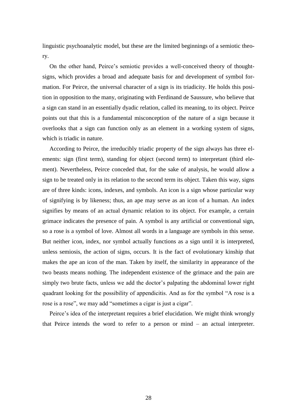linguistic psychoanalytic model, but these are the limited beginnings of a semiotic theory.

On the other hand, Peirce's semiotic provides a well-conceived theory of thoughtsigns, which provides a broad and adequate basis for and development of symbol formation. For Peirce, the universal character of a sign is its triadicity. He holds this position in opposition to the many, originating with Ferdinand de Saussure, who believe that a sign can stand in an essentially dyadic relation, called its meaning, to its object. Peirce points out that this is a fundamental misconception of the nature of a sign because it overlooks that a sign can function only as an element in a working system of signs, which is triadic in nature.

According to Peirce, the irreducibly triadic property of the sign always has three elements: sign (first term), standing for object (second term) to interpretant (third element). Nevertheless, Peirce conceded that, for the sake of analysis, he would allow a sign to be treated only in its relation to the second term its object. Taken this way, signs are of three kinds: icons, indexes, and symbols. An icon is a sign whose particular way of signifying is by likeness; thus, an ape may serve as an icon of a human. An index signifies by means of an actual dynamic relation to its object. For example, a certain grimace indicates the presence of pain. A symbol is any artificial or conventional sign, so a rose is a symbol of love. Almost all words in a language are symbols in this sense. But neither icon, index, nor symbol actually functions as a sign until it is interpreted, unless semiosis, the action of signs, occurs. It is the fact of evolutionary kinship that makes the ape an icon of the man. Taken by itself, the similarity in appearance of the two beasts means nothing. The independent existence of the grimace and the pain are simply two brute facts, unless we add the doctor's palpating the abdominal lower right quadrant looking for the possibility of appendicitis. And as for the symbol "A rose is a rose is a rose", we may add "sometimes a cigar is just a cigar".

Peirce's idea of the interpretant requires a brief elucidation. We might think wrongly that Peirce intends the word to refer to a person or mind – an actual interpreter.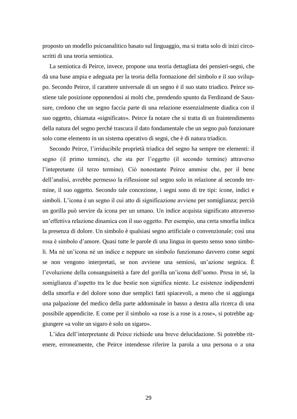proposto un modello psicoanalitico basato sul linguaggio, ma si tratta solo di inizi circoscritti di una teoria semiotica.

La semiotica di Peirce, invece, propone una teoria dettagliata dei pensieri-segni, che dà una base ampia e adeguata per la teoria della formazione del simbolo e il suo sviluppo. Secondo Peirce, il carattere universale di un segno è il suo stato triadico. Peirce sostiene tale posizione opponendosi ai molti che, prendendo spunto da Ferdinand de Saussure, credono che un segno faccia parte di una relazione essenzialmente diadica con il suo oggetto, chiamata «significato». Peirce fa notare che si tratta di un fraintendimento della natura del segno perché trascura il dato fondamentale che un segno può funzionare solo come elemento in un sistema operativo di segni, che è di natura triadico.

Secondo Peirce, l'irriducibile proprietà triadica del segno ha sempre tre elementi: il segno (il primo termine), che sta per l'oggetto (il secondo termine) attraverso l'intepretante (il terzo termine). Ciò nonostante Peirce ammise che, per il bene dell'analisi, avrebbe permesso la riflessione sul segno solo in relazione al secondo termine, il suo oggetto. Secondo tale concezione, i segni sono di tre tipi: icone, indici e simboli. L'icona è un segno il cui atto di significazione avviene per somiglianza; perciò un gorilla può servire da icona per un umano. Un indice acquista significato attraverso un'effettiva relazione dinamica con il suo oggetto. Per esempio, una certa smorfia indica la presenza di dolore. Un simbolo è qualsiasi segno artificiale o convenzionale; così una rosa è simbolo d'amore. Quasi tutte le parole di una lingua in questo senso sono simboli. Ma né un'icona né un indice e neppure un simbolo funzionano davvero come segni se non vengono interpretati, se non avviene una semiosi, un'azione segnica. È l'evoluzione della consanguineità a fare del gorilla un'icona dell'uomo. Presa in sé, la somiglianza d'aspetto tra le due bestie non significa niente. Le esistenze indipendenti della smorfia e del dolore sono due semplici fatti spiacevoli, a meno che si aggiunga una palpazione del medico della parte addominale in basso a destra alla ricerca di una possibile appendicite. E come per il simbolo «a rose is a rose is a rose», si potrebbe aggiungere «a volte un sigaro è solo un sigaro».

L'idea dell'interpretante di Peirce richiede una breve delucidazione. Si potrebbe ritenere, erroneamente, che Peirce intendesse riferire la parola a una persona o a una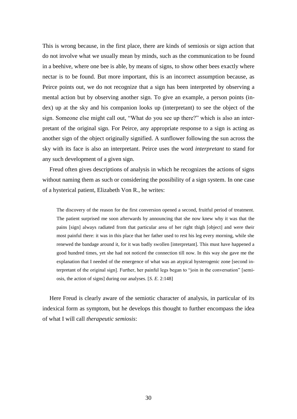This is wrong because, in the first place, there are kinds of semiosis or sign action that do not involve what we usually mean by minds, such as the communication to be found in a beehive, where one bee is able, by means of signs, to show other bees exactly where nectar is to be found. But more important, this is an incorrect assumption because, as Peirce points out, we do not recognize that a sign has been interpreted by observing a mental action but by observing another sign. To give an example, a person points (index) up at the sky and his companion looks up (interpretant) to see the object of the sign. Someone else might call out, "What do you see up there?" which is also an interpretant of the original sign. For Peirce, any appropriate response to a sign is acting as another sign of the object originally signified. A sunflower following the sun across the sky with its face is also an interpretant. Peirce uses the word *interpretant* to stand for any such development of a given sign.

Freud often gives descriptions of analysis in which he recognizes the actions of signs without naming them as such or considering the possibility of a sign system. In one case of a hysterical patient, Elizabeth Von R., he writes:

The discovery of the reason for the first conversion opened a second, fruitful period of treatment. The patient surprised me soon afterwards by announcing that she now knew why it was that the pains [sign] always radiated from that particular area of her right thigh [object] and were their most painful there: it was in this place that her father used to rest his leg every morning, while she renewed the bandage around it, for it was badly swollen [interpretant]. This must have happened a good hundred times, yet she had not noticed the connection till now. In this way she gave me the explanation that I needed of the emergence of what was an atypical hysterogenic zone [second interpretant of the original sign]. Further, her painful legs began to "join in the conversation" [semiosis, the action of signs] during our analyses. [*S. E.* 2:148]

Here Freud is clearly aware of the semiotic character of analysis, in particular of its indexical form as symptom, but he develops this thought to further encompass the idea of what I will call *therapeutic semiosis*: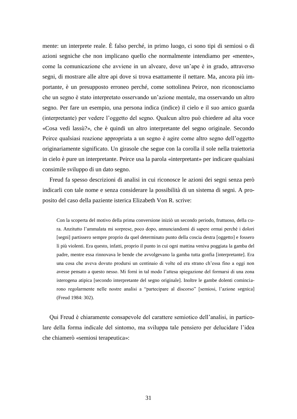mente: un interprete reale. È falso perché, in primo luogo, ci sono tipi di semiosi o di azioni segniche che non implicano quello che normalmente intendiamo per «mente», come la comunicazione che avviene in un alveare, dove un'ape è in grado, attraverso segni, di mostrare alle altre api dove si trova esattamente il nettare. Ma, ancora più importante, è un presupposto erroneo perché, come sottolinea Peirce, non riconosciamo che un segno è stato interpretato osservando un'azione mentale, ma osservando un altro segno. Per fare un esempio, una persona indica (indice) il cielo e il suo amico guarda (interpretante) per vedere l'oggetto del segno. Qualcun altro può chiedere ad alta voce «Cosa vedi lassù?», che è quindi un altro interpretante del segno originale. Secondo Peirce qualsiasi reazione appropriata a un segno è agire come altro segno dell'oggetto originariamente significato. Un girasole che segue con la corolla il sole nella traiettoria in cielo è pure un interpretante. Peirce usa la parola «interpretant» per indicare qualsiasi consimile sviluppo di un dato segno.

Freud fa spesso descrizioni di analisi in cui riconosce le azioni dei segni senza però indicarli con tale nome e senza considerare la possibilità di un sistema di segni. A proposito del caso della paziente isterica Elizabeth Von R. scrive:

Con la scoperta del motivo della prima conversione iniziò un secondo periodo, fruttuoso, della cura. Anzitutto l'ammalata mi sorprese, poco dopo, annunciandomi di sapere ormai perché i dolori [segni] partissero sempre proprio da quel determinato punto della coscia destra [oggetto] e fossero lì più violenti. Era questo, infatti, proprio il punto in cui ogni mattina veniva poggiata la gamba del padre, mentre essa rinnovava le bende che avvolgevano la gamba tutta gonfia [interpretante]. Era una cosa che aveva dovuto prodursi un centinaio di volte ed era strano ch'essa fino a oggi non avesse pensato a questo nesso. Mi fornì in tal modo l'attesa spiegazione del formarsi di una zona isterogena atipica [secondo interpretante del segno originale]. Inoltre le gambe dolenti cominciarono regolarmente nelle nostre analisi a "partecipare al discorso" [semiosi, l'azione segnica] (Freud 1984: 302).

Qui Freud è chiaramente consapevole del carattere semiotico dell'analisi, in particolare della forma indicale del sintomo, ma sviluppa tale pensiero per delucidare l'idea che chiamerò «semiosi terapeutica»: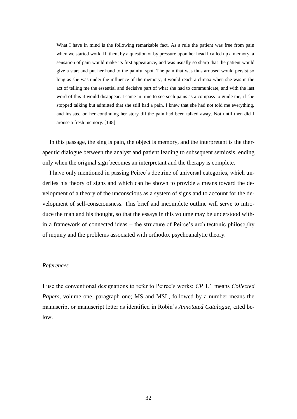What I have in mind is the following remarkable fact. As a rule the patient was free from pain when we started work. If, then, by a question or by pressure upon her head I called up a memory, a sensation of pain would make its first appearance, and was usually so sharp that the patient would give a start and put her hand to the painful spot. The pain that was thus aroused would persist so long as she was under the influence of the memory; it would reach a climax when she was in the act of telling me the essential and decisive part of what she had to communicate, and with the last word of this it would disappear. I came in time to see such pains as a compass to guide me; if she stopped talking but admitted that she still had a pain, I knew that she had not told me everything, and insisted on her continuing her story till the pain had been talked away. Not until then did I arouse a fresh memory. [148]

In this passage, the sing is pain, the object is memory, and the interpretant is the therapeutic dialogue between the analyst and patient leading to subsequent semiosis, ending only when the original sign becomes an interpretant and the therapy is complete.

I have only mentioned in passing Peirce's doctrine of universal categories, which underlies his theory of signs and which can be shown to provide a means toward the development of a theory of the unconscious as a system of signs and to account for the development of self-consciousness. This brief and incomplete outline will serve to introduce the man and his thought, so that the essays in this volume may be understood within a framework of connected ideas – the structure of Peirce's architectonic philosophy of inquiry and the problems associated with orthodox psychoanalytic theory.

#### *References*

I use the conventional designations to refer to Peirce's works: *CP* 1.1 means *Collected Papers*, volume one, paragraph one; MS and MSL, followed by a number means the manuscript or manuscript letter as identified in Robin's *Annotated Catalogue*, cited below.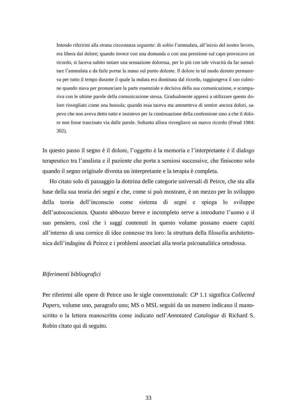Intendo riferirmi alla strana circostanza seguente: di solito l'ammalata, all'inizio del nostro lavoro, era libera dal dolore; quando invece con una domanda o con una pressione sul capo provocavo un ricordo, si faceva subito notare una sensazione dolorosa, per lo più con tale vivacità da far sussultare l'ammalata e da farle portar la mano sul punto dolente. Il dolore in tal modo destato permaneva per tutto il tempo durante il quale la malata era dominata dal ricordo, raggiungeva il suo culmine quando stava per pronunciare la parte essenziale e decisiva della sua comunicazione, e scompariva con le ultime parole della comunicazione stessa. Gradualmente appresi a utilizzare questo dolore risvegliato come una bussola; quando essa taceva ma ammetteva di sentire ancora dolori, sapevo che non aveva detto tutto e insistevo per la continuazione della confessione sino a che il dolore non fosse trascinato via dalle parole. Soltanto allora risvegliavo un nuovo ricordo (Freud 1984: 302).

In questo passo il segno è il dolore, l'oggetto è la memoria e l'interpretante è il dialogo terapeutico tra l'analista e il paziente che porta a semiosi successive, che finiscono solo quando il segno originale diventa un interpretante e la terapia è completa.

Ho citato solo di passaggio la dottrina delle categorie universali di Peirce, che sta alla base della sua teoria dei segni e che, come si può mostrare, è un mezzo per lo sviluppo della teoria dell'inconscio come sistema di segni e spiega lo sviluppo dell'autocoscienza. Questo abbozzo breve e incompleto serve a introdurre l'uomo e il suo pensiero, così che i saggi contenuti in questo volume possano essere capiti all'interno di una cornice di idee connesse tra loro: la struttura della filosofia architettonica dell'indagine di Peirce e i problemi associati alla teoria psicoanalitica ortodossa.

#### *Riferimenti bibliografici*

Per riferirmi alle opere di Peirce uso le sigle convenzionali: *CP* 1.1 significa *Collected Papers*, volume uno, paragrafo uno; MS o MSL seguiti da un numero indicano il manoscritto o la lettera manoscritta come indicato nell'*Annotated Catalogue* di Richard S. Robin citato qui di seguito.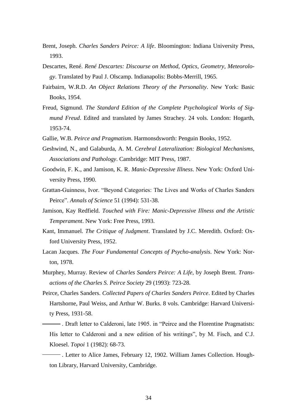- Brent, Joseph. *Charles Sanders Peirce: A life*. Bloomington: Indiana University Press, 1993.
- Descartes, René. *René Descartes: Discourse on Method, Optics, Geometry, Meteorology*. Translated by Paul J. Olscamp. Indianapolis: Bobbs-Merrill, 1965.
- Fairbairn, W.R.D. *An Object Relations Theory of the Personality*. New York: Basic Books, 1954.
- Freud, Sigmund. *The Standard Edition of the Complete Psychological Works of Sigmund Freud*. Edited and translated by James Strachey. 24 vols. London: Hogarth, 1953-74.
- Gallie, W.B. *Peirce and Pragmatism*. Harmonsdsworth: Penguin Books, 1952.
- Geshwind, N., and Galaburda, A. M. *Cerebral Lateralization: Biological Mechanisms, Associations and Pathology*. Cambridge: MIT Press, 1987.
- Goodwin, F. K., and Jamison, K. R. *Manic-Depressive Illness*. New York: Oxford University Press, 1990.
- Grattan-Guinness, Ivor. "Beyond Categories: The Lives and Works of Charles Sanders Peirce". *Annals of Science* 51 (1994): 531-38.
- Jamison, Kay Redfield. *Touched with Fire: Manic-Depressive Illness and the Artistic Temperament*. New York: Free Press, 1993.
- Kant, Immanuel. *The Critique of Judgment*. Translated by J.C. Meredith. Oxford: Oxford University Press, 1952.
- Lacan Jacques. *The Four Fundamental Concepts of Psycho-analysis*. New York: Norton, 1978.
- Murphey, Murray. Review of *Charles Sanders Peirce: A Life*, by Joseph Brent. *Transactions of the Charles S. Peirce Society* 29 (1993): 723-28.
- Peirce, Charles Sanders. *Collected Papers of Charles Sanders Peirce*. Edited by Charles Hartshorne, Paul Weiss, and Arthur W. Burks. 8 vols. Cambridge: Harvard University Press, 1931-58.
- . Draft letter to Calderoni, late 1905. in "Peirce and the Florentine Pragmatists: His letter to Calderoni and a new edition of his writings", by M. Fisch, and C.J. Kloesel. *Topoi* 1 (1982): 68-73.

 . Letter to Alice James, February 12, 1902. William James Collection. Houghton Library, Harvard University, Cambridge.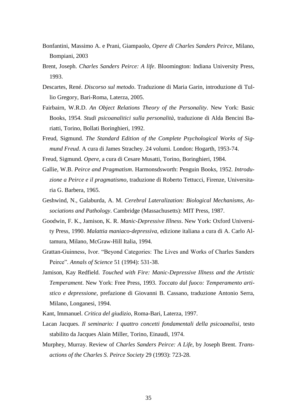- Bonfantini, Massimo A. e Prani, Giampaolo, *Opere di Charles Sanders Peirce*, Milano, Bompiani, 2003
- Brent, Joseph. *Charles Sanders Peirce: A life*. Bloomington: Indiana University Press, 1993.
- Descartes, René. *Discorso sul metodo*. Traduzione di Maria Garin, introduzione di Tullio Gregory, Bari-Roma, Laterza, 2005.
- Fairbairn, W.R.D. *An Object Relations Theory of the Personality*. New York: Basic Books, 1954. *Studi psicoanalitici sulla personalità*, traduzione di Alda Bencini Bariatti, Torino, Bollati Boringhieri, 1992.
- Freud, Sigmund. *The Standard Edition of the Complete Psychological Works of Sigmund Freud*. A cura di James Strachey. 24 volumi. London: Hogarth, 1953-74.
- Freud, Sigmund. *Opere*, a cura di Cesare Musatti, Torino, Boringhieri, 1984.
- Gallie, W.B. *Peirce and Pragmatism*. Harmonsdsworth: Penguin Books, 1952. *Introduzione a Peirce e il pragmatismo,* traduzione di Roberto Tettucci, Firenze, Universitaria G. Barbera, 1965.
- Geshwind, N., Galaburda, A. M. *Cerebral Lateralization: Biological Mechanisms, Associations and Pathology*. Cambridge (Massachusetts): MIT Press, 1987.
- Goodwin, F. K., Jamison, K. R. *Manic-Depressive Illness*. New York: Oxford University Press, 1990. *Malattia maniaco-depressiva*, edizione italiana a cura di A. Carlo Altamura, Milano, McGraw-Hill Italia, 1994.
- Grattan-Guinness, Ivor. "Beyond Categories: The Lives and Works of Charles Sanders Peirce". *Annals of Science* 51 (1994): 531-38.
- Jamison, Kay Redfield. *Touched with Fire: Manic-Depressive Illness and the Artistic Temperament*. New York: Free Press, 1993. *Toccato dal fuoco: Temperamento artistico e depressione*, prefazione di Giovanni B. Cassano, traduzione Antonio Serra, Milano, Longanesi, 1994.
- Kant, Immanuel. *Critica del giudizio*, Roma-Bari, Laterza, 1997.
- Lacan Jacques. *Il seminario: I quattro concetti fondamentali della psicoanalisi*, testo stabilito da Jacques Alain Miller, Torino, Einaudi, 1974.
- Murphey, Murray. Review of *Charles Sanders Peirce: A Life*, by Joseph Brent. *Transactions of the Charles S. Peirce Society* 29 (1993): 723-28.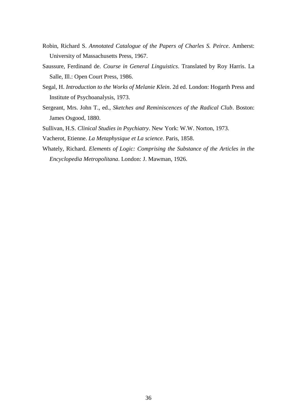- Robin, Richard S. *Annotated Catalogue of the Papers of Charles S. Peirce*. Amherst: University of Massachusetts Press, 1967.
- Saussure, Ferdinand de. *Course in General Linguistics*. Translated by Roy Harris. La Salle, Ill.: Open Court Press, 1986.
- Segal, H. *Introduction to the Works of Melanie Klein*. 2d ed. London: Hogarth Press and Institute of Psychoanalysis, 1973.
- Sergeant, Mrs. John T., ed., *Sketches and Reminiscences of the Radical Club*. Boston: James Osgood, 1880.
- Sullivan, H.S. *Clinical Studies in Psychiatry*. New York: W.W. Norton, 1973.
- Vacherot, Etienne. *La Metaphysique et La science*. Paris, 1858.
- Whately, Richard. *Elements of Logic: Comprising the Substance of the Articles in the Encyclopedia Metropolitana*. London: J. Mawman, 1926.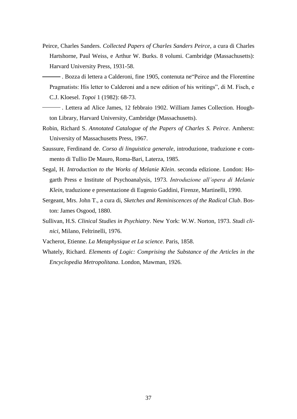Peirce, Charles Sanders. *Collected Papers of Charles Sanders Peirce*, a cura di Charles Hartshorne, Paul Weiss, e Arthur W. Burks. 8 volumi. Cambridge (Massachusetts): Harvard University Press, 1931-58.

 . Bozza di lettera a Calderoni, fine 1905, contenuta ne"Peirce and the Florentine Pragmatists: His letter to Calderoni and a new edition of his writings", di M. Fisch, e C.J. Kloesel. *Topoi* 1 (1982): 68-73.

- . Lettera ad Alice James, 12 febbraio 1902. William James Collection. Houghton Library, Harvard University, Cambridge (Massachusetts).
- Robin, Richard S. *Annotated Catalogue of the Papers of Charles S. Peirce*. Amherst: University of Massachusetts Press, 1967.
- Saussure, Ferdinand de. *Corso di linguistica generale*, introduzione, traduzione e commento di Tullio De Mauro, Roma-Bari, Laterza, 1985.
- Segal, H. *Introduction to the Works of Melanie Klein*. seconda edizione. London: Hogarth Press e Institute of Psychoanalysis, 1973. *Introduzione all'opera di Melanie Klein*, traduzione e presentazione di Eugenio Gaddini, Firenze, Martinelli, 1990.
- Sergeant, Mrs. John T., a cura di, *Sketches and Reminiscences of the Radical Club*. Boston: James Osgood, 1880.
- Sullivan, H.S. *Clinical Studies in Psychiatry*. New York: W.W. Norton, 1973. *Studi clinici*, Milano, Feltrinelli, 1976.
- Vacherot, Etienne. *La Metaphysique et La science*. Paris, 1858.
- Whately, Richard. *Elements of Logic: Comprising the Substance of the Articles in the Encyclopedia Metropolitana*. London, Mawman, 1926.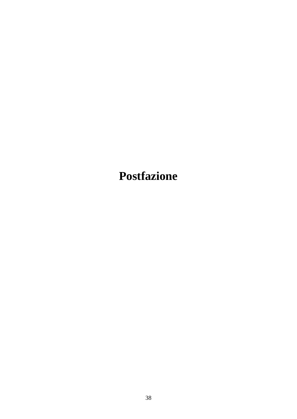<span id="page-42-0"></span>**Postfazione**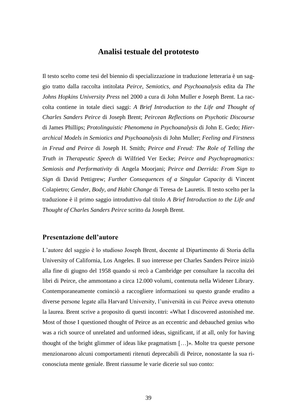## **Analisi testuale del prototesto**

<span id="page-43-0"></span>Il testo scelto come tesi del biennio di specializzazione in traduzione letteraria è un saggio tratto dalla raccolta intitolata *Peirce, Semiotics, and Psychoanalysis* edita da *The Johns Hopkins University Press* nel 2000 a cura di John Muller e Joseph Brent. La raccolta contiene in totale dieci saggi: *A Brief Introduction to the Life and Thought of Charles Sanders Peirce* di Joseph Brent; *Peircean Reflections on Psychotic Discourse* di James Phillips; *Protolinguistic Phenomena in Psychoanalysis* di John E. Gedo; *Hierarchical Models in Semiotics and Psychoanalysis* di John Muller; *Feeling and Firstness in Freud and Peirce* di Joseph H. Smith; *Peirce and Freud: The Role of Telling the Truth in Therapeutic Speech* di Wilfried Ver Eecke; *Peirce and Psychopragmatics: Semiosis and Performativity* di Angela Moorjani; *Peirce and Derrida: From Sign to Sign* di David Pettigrew; *Further Consequences of a Singular Capacity* di Vincent Colapietro; *Gender, Body, and Habit Change* di Teresa de Lauretis. Il testo scelto per la traduzione è il primo saggio introduttivo dal titolo *A Brief Introduction to the Life and Thought of Charles Sanders Peirce* scritto da Joseph Brent.

## <span id="page-43-1"></span>**Presentazione dell'autore**

L'autore del saggio è lo studioso Joseph Brent, docente al Dipartimento di Storia della University of California, Los Angeles. Il suo interesse per Charles Sanders Peirce iniziò alla fine di giugno del 1958 quando si recò a Cambridge per consultare la raccolta dei libri di Peirce, che ammontano a circa 12.000 volumi, contenuta nella Widener Library. Contemporaneamente cominciò a raccogliere informazioni su questo grande erudito a diverse persone legate alla Harvard University, l'università in cui Peirce aveva ottenuto la laurea. Brent scrive a proposito di questi incontri: «What I discovered astonished me. Most of those I questioned thought of Peirce as an eccentric and debauched genius who was a rich source of unrelated and unformed ideas, significant, if at all, only for having thought of the bright glimmer of ideas like pragmatism …». Molte tra queste persone menzionarono alcuni comportamenti ritenuti deprecabili di Peirce, nonostante la sua riconosciuta mente geniale. Brent riassume le varie dicerie sul suo conto: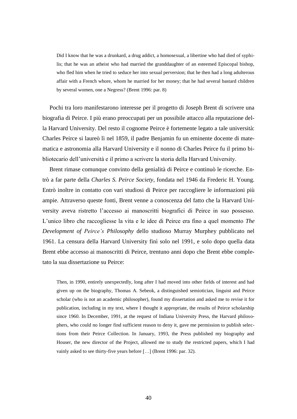Did I know that he was a drunkard, a drug addict, a homosexual, a libertine who had died of syphilis; that he was an atheist who had married the granddaughter of an esteemed Episcopal bishop, who fled him when he tried to seduce her into sexual perversion; that he then had a long adulterous affair with a French whore, whom he married for her money; that he had several bastard children by several women, one a Negress? (Brent 1996: par. 8)

Pochi tra loro manifestarono interesse per il progetto di Joseph Brent di scrivere una biografia di Peirce. I più erano preoccupati per un possibile attacco alla reputazione della Harvard University. Del resto il cognome Peirce è fortemente legato a tale università: Charles Peirce si laureò lì nel 1859, il padre Benjamin fu un eminente docente di matematica e astronomia alla Harvard University e il nonno di Charles Peirce fu il primo bibliotecario dell'università e il primo a scrivere la storia della Harvard University.

Brent rimase comunque convinto della genialità di Peirce e continuò le ricerche. Entrò a far parte della *Charles S. Peirce Society*, fondata nel 1946 da Frederic H. Young. Entrò inoltre in contatto con vari studiosi di Peirce per raccogliere le informazioni più ampie. Attraverso queste fonti, Brent venne a conoscenza del fatto che la Harvard University aveva ristretto l'accesso ai manoscritti biografici di Peirce in suo possesso. L'unico libro che raccogliesse la vita e le idee di Peirce era fino a quel momento *The Development of Peirce's Philosophy* dello studioso Murray Murphey pubblicato nel 1961. La censura della Harvard University finì solo nel 1991, e solo dopo quella data Brent ebbe accesso ai manoscritti di Peirce, trentuno anni dopo che Brent ebbe completato la sua dissertazione su Peirce:

Then, in 1990, entirely unexpectedly, long after I had moved into other fields of interest and had given up on the biography, Thomas A. Sebeok, a distinguished semiotician, linguist and Peirce scholar (who is not an academic philosopher), found my dissertation and asked me to revise it for publication, including in my text, where I thought it appropriate, the results of Peirce scholarship since 1960. In December, 1991, at the request of Indiana University Press, the Harvard philosophers, who could no longer find sufficient reason to deny it, gave me permission to publish selections from their Peirce Collection. In January, 1993, the Press published my biography and Houser, the new director of the Project, allowed me to study the restricted papers, which I had vainly asked to see thirty-five years before [...] (Brent 1996: par. 32).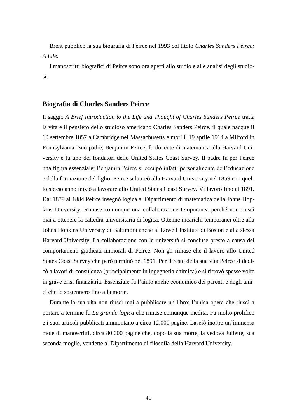Brent pubblicò la sua biografia di Peirce nel 1993 col titolo *Charles Sanders Peirce: A Life.*

I manoscritti biografici di Peirce sono ora aperti allo studio e alle analisi degli studiosi.

### <span id="page-45-0"></span>**Biografia di Charles Sanders Peirce**

Il saggio *A Brief Introduction to the Life and Thought of Charles Sanders Peirce* tratta la vita e il pensiero dello studioso americano Charles Sanders Peirce, il quale nacque il 10 settembre 1857 a Cambridge nel Massachusetts e morì il 19 aprile 1914 a Milford in Pennsylvania. Suo padre, Benjamin Peirce, fu docente di matematica alla Harvard University e fu uno dei fondatori dello United States Coast Survey. Il padre fu per Peirce una figura essenziale; Benjamin Peirce si occupò infatti personalmente dell'educazione e della formazione del figlio. Peirce si laureò alla Harvard University nel 1859 e in quello stesso anno iniziò a lavorare allo United States Coast Survey. Vi lavorò fino al 1891. Dal 1879 al 1884 Peirce insegnò logica al Dipartimento di matematica della Johns Hopkins University. Rimase comunque una collaborazione temporanea perché non riuscì mai a ottenere la cattedra universitaria di logica. Ottenne incarichi temporanei oltre alla Johns Hopkins University di Baltimora anche al Lowell Institute di Boston e alla stessa Harvard University. La collaborazione con le università si concluse presto a causa dei comportamenti giudicati immorali di Peirce. Non gli rimase che il lavoro allo United States Coast Survey che però terminò nel 1891. Per il resto della sua vita Peirce si dedicò a lavori di consulenza (principalmente in ingegneria chimica) e si ritrovò spesse volte in grave crisi finanziaria. Essenziale fu l'aiuto anche economico dei parenti e degli amici che lo sostennero fino alla morte.

Durante la sua vita non riuscì mai a pubblicare un libro; l'unica opera che riuscì a portare a termine fu *La grande logica* che rimase comunque inedita. Fu molto prolifico e i suoi articoli pubblicati ammontano a circa 12.000 pagine. Lasciò inoltre un'immensa mole di manoscritti, circa 80.000 pagine che, dopo la sua morte, la vedova Juliette, sua seconda moglie, vendette al Dipartimento di filosofia della Harvard University.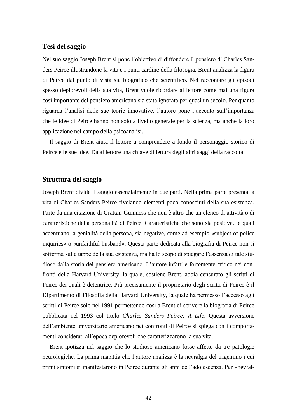## <span id="page-46-0"></span>**Tesi del saggio**

Nel suo saggio Joseph Brent si pone l'obiettivo di diffondere il pensiero di Charles Sanders Peirce illustrandone la vita e i punti cardine della filosogia. Brent analizza la figura di Peirce dal punto di vista sia biografico che scientifico. Nel raccontare gli episodi spesso deplorevoli della sua vita, Brent vuole ricordare al lettore come mai una figura così importante del pensiero americano sia stata ignorata per quasi un secolo. Per quanto riguarda l'analisi delle sue teorie innovative, l'autore pone l'accento sull'importanza che le idee di Peirce hanno non solo a livello generale per la scienza, ma anche la loro applicazione nel campo della psicoanalisi.

Il saggio di Brent aiuta il lettore a comprendere a fondo il personaggio storico di Peirce e le sue idee. Dà al lettore una chiave di lettura degli altri saggi della raccolta.

#### <span id="page-46-1"></span>**Struttura del saggio**

Joseph Brent divide il saggio essenzialmente in due parti. Nella prima parte presenta la vita di Charles Sanders Peirce rivelando elementi poco conosciuti della sua esistenza. Parte da una citazione di Grattan-Guinness che non è altro che un elenco di attività o di caratteristiche della personalità di Peirce. Caratteristiche che sono sia positive, le quali accentuano la genialità della persona, sia negative, come ad esempio «subject of police inquiries» o «unfaithful husband». Questa parte dedicata alla biografia di Peirce non si sofferma sulle tappe della sua esistenza, ma ha lo scopo di spiegare l'assenza di tale studioso dalla storia del pensiero americano. L'autore infatti è fortemente critico nei confronti della Harvard University, la quale, sostiene Brent, abbia censurato gli scritti di Peirce dei quali è detentrice. Più precisamente il proprietario degli scritti di Peirce è il Dipartimento di Filosofia della Harvard University, la quale ha permesso l'accesso agli scritti di Peirce solo nel 1991 permettendo così a Brent di scrivere la biografia di Peirce pubblicata nel 1993 col titolo *Charles Sanders Peirce: A Life*. Questa avversione dell'ambiente universitario americano nei confronti di Peirce si spiega con i comportamenti considerati all'epoca deplorevoli che caratterizzarono la sua vita.

Brent ipotizza nel saggio che lo studioso americano fosse affetto da tre patologie neurologiche. La prima malattia che l'autore analizza è la nevralgia del trigemino i cui primi sintomi si manifestarono in Peirce durante gli anni dell'adolescenza. Per «nevral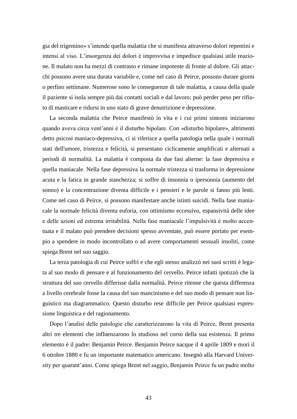gia del trigemino» s'intende quella malattia che si manifesta attraverso dolori repentini e intensi al viso. L'insorgenza dei dolori è improvvisa e impedisce qualsiasi utile reazione. Il malato non ha mezzi di contrasto e rimane impotente di fronte al dolore. Gli attacchi possono avere una durata variabile e, come nel caso di Peirce, possono durare giorni o perfino settimane. Numerose sono le conseguenze di tale malattia, a causa della quale il paziente si isola sempre più dai contatti sociali e dal lavoro; può perder peso per rifiuto di masticare e ridursi in uno stato di grave denutrizione e depressione.

La seconda malattia che Peirce manifestò in vita e i cui primi sintomi iniziarono quando aveva circa vent'anni è il disturbo bipolare. Con «disturbo bipolare», altrimenti detto psicosi maniaco-depressiva, ci si riferisce a quella patologia nella quale i normali stati dell'umore, tristezza e felicità, si presentano ciclicamente amplificati e alternati a periodi di normalità. La malattia è composta da due fasi alterne: la fase depressiva e quella maniacale. Nella fase depressiva la normale tristezza si trasforma in depressione acuta e la fatica in grande stanchezza; si soffre di insonnia o ipersonnia (aumento del sonno) e la concentrazione diventa difficile e i pensieri e le parole si fanno più lenti. Come nel caso di Peirce, si possono manifestare anche istinti suicidi. Nella fase maniacale la normale felicità diventa euforia, con ottimismo eccessivo, espansività delle idee e delle azioni ed estrema irritabilità. Nella fase maniacale l'impulsività è molto accentuata e il malato può prendere decisioni spesso avventate, può essere portato per esempio a spendere in modo incontrollato o ad avere comportamenti sessuali insoliti, come spiega Brent nel suo saggio.

La terza patologia di cui Peirce soffrì e che egli stesso analizzò nei suoi scritti è legata al suo modo di pensare e al funzionamento del cervello. Peirce infatti ipotizzò che la struttura del suo cervello differisse dalla normalità. Peirce ritenne che questa differenza a livello cerebrale fosse la causa del suo mancinismo e del suo modo di pensare non linguistico ma diagrammatico. Questo disturbo rese difficile per Peirce qualsiasi espressione linguistica e del ragionamento.

Dopo l'analisi delle patologie che caratterizzarono la vita di Peirce, Brent presenta altri tre elementi che influenzarono lo studioso nel corso della sua esistenza. Il primo elemento è il padre: Benjamin Peirce. Benjamin Peirce nacque il 4 aprile 1809 e morì il 6 ottobre 1880 e fu un importante matematico americano. Insegnò alla Harvard University per quarant'anni. Come spiega Brent nel saggio, Benjamin Peirce fu un padre molto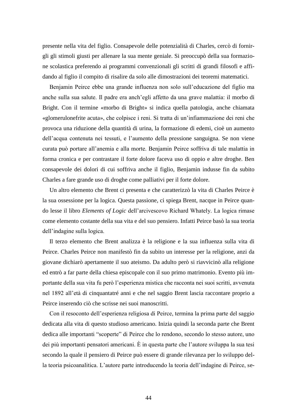presente nella vita del figlio. Consapevole delle potenzialità di Charles, cercò di fornirgli gli stimoli giusti per allenare la sua mente geniale. Si preoccupò della sua formazione scolastica preferendo ai programmi convenzionali gli scritti di grandi filosofi e affidando al figlio il compito di risalire da solo alle dimostrazioni dei teoremi matematici.

Benjamin Peirce ebbe una grande influenza non solo sull'educazione del figlio ma anche sulla sua salute. Il padre era anch'egli affetto da una grave malattia: il morbo di Bright. Con il termine «morbo di Bright» si indica quella patologia, anche chiamata «glomerulonefrite acuta», che colpisce i reni. Si tratta di un'infiammazione dei reni che provoca una riduzione della quantità di urina, la formazione di edemi, cioè un aumento dell'acqua contenuta nei tessuti, e l'aumento della pressione sanguigna. Se non viene curata può portare all'anemia e alla morte. Benjamin Peirce soffriva di tale malattia in forma cronica e per contrastare il forte dolore faceva uso di oppio e altre droghe. Ben consapevole dei dolori di cui soffriva anche il figlio, Benjamin indusse fin da subito Charles a fare grande uso di droghe come palliativi per il forte dolore.

Un altro elemento che Brent ci presenta e che caratterizzò la vita di Charles Peirce è la sua ossessione per la logica. Questa passione, ci spiega Brent, nacque in Peirce quando lesse il libro *Elements of Logic* dell'arcivescovo Richard Whately. La logica rimase come elemento costante della sua vita e del suo pensiero. Infatti Peirce basò la sua teoria dell'indagine sulla logica.

Il terzo elemento che Brent analizza è la religione e la sua influenza sulla vita di Peirce. Charles Peirce non manifestò fin da subito un interesse per la religione, anzi da giovane dichiarò apertamente il suo ateismo. Da adulto però si riavvicinò alla religione ed entrò a far parte della chiesa episcopale con il suo primo matrimonio. Evento più importante della sua vita fu però l'esperienza mistica che racconta nei suoi scritti, avvenuta nel 1892 all'età di cinquantatré anni e che nel saggio Brent lascia raccontare proprio a Peirce inserendo ciò che scrisse nei suoi manoscritti.

Con il resoconto dell'esperienza religiosa di Peirce, termina la prima parte del saggio dedicata alla vita di questo studioso americano. Inizia quindi la seconda parte che Brent dedica alle importanti "scoperte" di Peirce che lo rendono, secondo lo stesso autore, uno dei più importanti pensatori americani. È in questa parte che l'autore sviluppa la sua tesi secondo la quale il pensiero di Peirce può essere di grande rilevanza per lo sviluppo della teoria psicoanalitica. L'autore parte introducendo la teoria dell'indagine di Peirce, se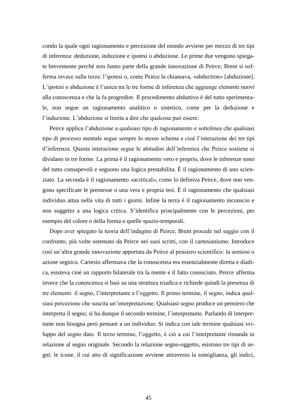condo la quale ogni ragionamento e percezione del mondo avviene per mezzo di tre tipi di inferenza: deduzione, induzione e ipotesi o abduzione. Le prime due vengono spiegate brevemente perché non fanno parte della grande innovazione di Peirce; Brent si sofferma invece sulla terza: l'ipotesi o, come Peirce la chiamava, «abduction» [abduzione]. L'ipotesi o abduzione è l'unica tra le tre forme di inferenza che aggiunge elementi nuovi alla conoscenza e che la fa progredire. Il procedimento abduttivo è del tutto sperimentale, non segue un ragionamento analitico o sintetico, come per la deduzione e l'induzione. L'abduzione si limita a dire che qualcosa può essere.

Peirce applica l'abduzione a qualsiasi tipo di ragionamento e sottolinea che qualsiasi tipo di processo mentale segue sempre lo stesso schema e cioè l'interazione dei tre tipi d'inferenza. Questa interazione segue le abitudini dell'inferenza che Peirce sostiene si dividano in tre forme. La prima è il ragionamento vero e proprio, dove le inferenze sono del tutto consapevoli e seguono una logica prestabilita. È il ragionamento di uno scienziato. La seconda è il ragionamento «acritical», come lo definiva Peirce, dove non vengono specificate le premesse o una vera e propria tesi. È il ragionamento che qualsiasi individuo attua nella vita di tutti i giorni. Infine la terza è il ragionamento inconscio e non soggetto a una logica critica. S'identifica principalmente con le percezioni, per esempio del colore o della forma o quelle spazio-temporali.

Dopo aver spiegato la teoria dell'indagine di Peirce, Brent procede nel saggio con il confronto, più volte ostentato da Peirce nei suoi scritti, con il cartesianismo. Introduce così un'altra grande innovazione apportata da Peirce al pensiero scientifico: la semiosi o azione segnica. Cartesio affermava che la conoscenza era essenzialmente diretta e diadica, esisteva cioè un rapporto bilaterale tra la mente e il fatto conosciuto. Peirce afferma invece che la conoscenza si basi su una struttura triadica e richiede quindi la presenza di tre elementi: il segno, l'interpretante e l'oggetto. Il primo termine, il segno, indica qualsiasi percezione che suscita un'interpretazione. Qualsiasi segno produce un pensiero che interpreta il segno; si ha dunque il secondo termine, l'interpretante. Parlando di interpretante non bisogna però pensare a un individuo. Si indica con tale termine qualsiasi sviluppo del segno dato. Il terzo termine, l'oggetto, è ciò a cui l'interpretante rimanda in relazione al segno originale. Secondo la relazione segno-oggetto, esistono tre tipi di segni: le icone, il cui atto di significazione avviene attraverso la somiglianza, gli indici,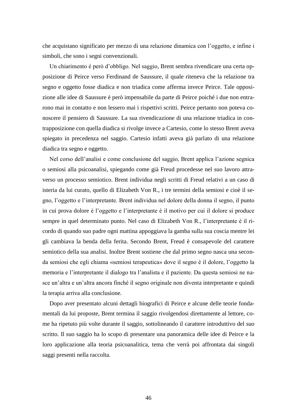che acquistano significato per mezzo di una relazione dinamica con l'oggetto, e infine i simboli, che sono i segni convenzionali.

Un chiarimento è però d'obbligo. Nel saggio, Brent sembra rivendicare una certa opposizione di Peirce verso Ferdinand de Saussure, il quale riteneva che la relazione tra segno e oggetto fosse diadica e non triadica come afferma invece Peirce. Tale opposizione alle idee di Saussure è però impensabile da parte di Peirce poiché i due non entrarono mai in contatto e non lessero mai i rispettivi scritti. Peirce pertanto non poteva conoscere il pensiero di Saussure. La sua rivendicazione di una relazione triadica in contrapposizione con quella diadica si rivolge invece a Cartesio, come lo stesso Brent aveva spiegato in precedenza nel saggio. Cartesio infatti aveva già parlato di una relazione diadica tra segno e oggetto.

Nel corso dell'analisi e come conclusione del saggio, Brent applica l'azione segnica o semiosi alla psicoanalisi, spiegando come già Freud procedesse nel suo lavoro attraverso un processo semiotico. Brent individua negli scritti di Freud relativi a un caso di isteria da lui curato, quello di Elizabeth Von R., i tre termini della semiosi e cioè il segno, l'oggetto e l'interpretante. Brent individua nel dolore della donna il segno, il punto in cui prova dolore è l'oggetto e l'interpretante è il motivo per cui il dolore si produce sempre in quel determinato punto. Nel caso di Elizabeth Von R., l'interpretante è il ricordo di quando suo padre ogni mattina appoggiava la gamba sulla sua coscia mentre lei gli cambiava la benda della ferita. Secondo Brent, Freud è consapevole del carattere semiotico della sua analisi. Inoltre Brent sostiene che dal primo segno nasca una seconda semiosi che egli chiama «semiosi terapeutica» dove il segno è il dolore, l'oggetto la memoria e l'interpretante il dialogo tra l'analista e il paziente. Da questa semiosi ne nasce un'altra e un'altra ancora finché il segno originale non diventa interpretante e quindi la terapia arriva alla conclusione.

Dopo aver presentato alcuni dettagli biografici di Peirce e alcune delle teorie fondamentali da lui proposte, Brent termina il saggio rivolgendosi direttamente al lettore, come ha ripetuto più volte durante il saggio, sottolineando il carattere introduttivo del suo scritto. Il suo saggio ha lo scopo di presentare una panoramica delle idee di Peirce e la loro applicazione alla teoria psicoanalitica, tema che verrà poi affrontata dai singoli saggi presenti nella raccolta.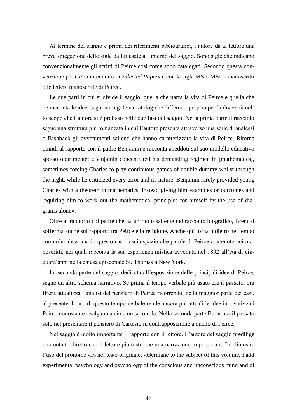Al termine del saggio e prima dei riferimenti bibliografici, l'autore dà al lettore una breve spiegazione delle sigle da lui usate all'interno del saggio. Sono sigle che indicano convenzionalmente gli scritti di Peirce così come sono catalogati. Secondo questa convenzione per *CP* si intendono i *Collected Papers* e con la sigla MS o MSL i manoscritti o le lettere manoscritte di Peirce.

Le due parti in cui si divide il saggio, quella che narra la vita di Peirce e quella che ne racconta le idee, seguono regole narratologiche differenti proprio per la diversità nello scopo che l'autore si è prefisso nelle due fasi del saggio. Nella prima parte il racconto segue una struttura più romanzata in cui l'autore presenta attraverso una serie di analessi o flashback gli avvenimenti salienti che hanno caratterizzato la vita di Peirce. Ritorna quindi al rapporto con il padre Benjamin e racconta aneddoti sul suo modello educativo spesso opprimente: «Benjamin concentrated his demanding regimen in [mathematics], sometimes forcing Charles to play continuous games of double dummy whilst through the night, while he criticized every error and its nature. Benjamin rarely provided young Charles with a theorem in mathematics, instead giving him examples or outcomes and requiring him to work out the mathematical principles for himself by the use of diagrams alone».

Oltre al rapporto col padre che ha un ruolo saliente nel racconto biografico, Brent si sofferma anche sul rapporto tra Peirce e la religione. Anche qui torna indietro nel tempo con un'analessi ma in questo caso lascia spazio alle parole di Peirce contenute nei manoscritti, nei quali racconta la sua esperienza mistica avvenuta nel 1892 all'età di cinquant'anni nella chiesa episcopale St. Thomas a New York.

La seconda parte del saggio, dedicata all'esposizione delle principali idee di Peirce, segue un altro schema narrativo. Se prima il tempo verbale più usato era il passato, ora Brent attualizza l'analisi del pensiero di Peirce ricorrendo, nella maggior parte dei casi, al presente. L'uso di questo tempo verbale rende ancora più attuali le idee innovative di Peirce nonostante risalgano a circa un secolo fa. Nella seconda parte Brent usa il passato solo nel presentare il pensiero di Cartesio in contrapposizione a quello di Peirce.

Nel saggio è molto importante il rapporto con il lettore. L'autore del saggio predilige un contatto diretto con il lettore piuttosto che una narrazione impersonale. Lo dimostra l'uso del pronome «I» nel testo originale: «Germane to the subject of this volume, I add experimental psychology and psychology of the conscious and unconscious mind and of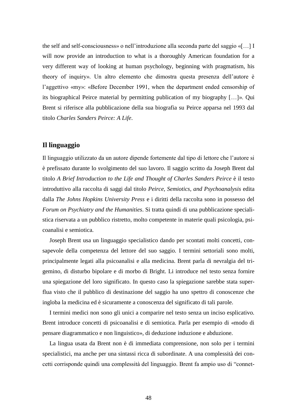the self and self-consciousness» o nell'introduzione alla seconda parte del saggio «[…] I will now provide an introduction to what is a thoroughly American foundation for a very different way of looking at human psychology, beginning with pragmatism, his theory of inquiry». Un altro elemento che dimostra questa presenza dell'autore è l'aggettivo «my»: «Before December 1991, when the department ended censorship of its biographical Peirce material by permitting publication of my biography […]». Qui Brent si riferisce alla pubblicazione della sua biografia su Peirce apparsa nel 1993 dal titolo *Charles Sanders Peirce: A Life*.

### <span id="page-52-0"></span>**Il linguaggio**

Il linguaggio utilizzato da un autore dipende fortemente dal tipo di lettore che l'autore si è prefissato durante lo svolgimento del suo lavoro. Il saggio scritto da Joseph Brent dal titolo *A Brief Introduction to the Life and Thought of Charles Sanders Peirce* è il testo introduttivo alla raccolta di saggi dal titolo *Peirce, Semiotics, and Psychoanalysis* edita dalla *The Johns Hopkins University Press* e i diritti della raccolta sono in possesso del *Forum on Psychiatry and the Humanities*. Si tratta quindi di una pubblicazione specialistica riservata a un pubblico ristretto, molto competente in materie quali psicologia, psicoanalisi e semiotica.

Joseph Brent usa un linguaggio specialistico dando per scontati molti concetti, consapevole della competenza del lettore del suo saggio. I termini settoriali sono molti, principalmente legati alla psicoanalisi e alla medicina. Brent parla di nevralgia del trigemino, di disturbo bipolare e di morbo di Bright. Li introduce nel testo senza fornire una spiegazione del loro significato. In questo caso la spiegazione sarebbe stata superflua visto che il pubblico di destinazione del saggio ha uno spettro di conoscenze che ingloba la medicina ed è sicuramente a conoscenza del significato di tali parole.

I termini medici non sono gli unici a comparire nel testo senza un inciso esplicativo. Brent introduce concetti di psicoanalisi e di semiotica. Parla per esempio di «modo di pensare diagrammatico e non linguistico», di deduzione induzione e abduzione.

La lingua usata da Brent non è di immediata comprensione, non solo per i termini specialistici, ma anche per una sintassi ricca di subordinate. A una complessità dei concetti corrisponde quindi una complessità del linguaggio. Brent fa ampio uso di "connet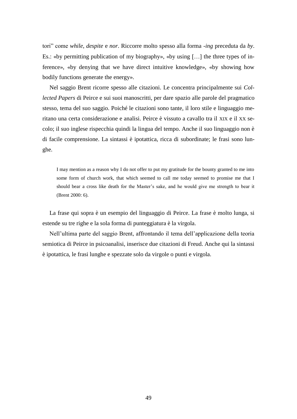tori" come *while*, *despite* e *nor*. Riccorre molto spesso alla forma *-ing* preceduta da *by*. Es.: «by permitting publication of my biography», «by using  $[\dots]$  the three types of inference», «by denying that we have direct intuitive knowledge», «by showing how bodily functions generate the energy».

Nel saggio Brent ricorre spesso alle citazioni. Le concentra principalmente sui *Collected Papers* di Peirce e sui suoi manoscritti, per dare spazio alle parole del pragmatico stesso, tema del suo saggio. Poiché le citazioni sono tante, il loro stile e linguaggio meritano una certa considerazione e analisi. Peirce è vissuto a cavallo tra il XIX e il XX secolo; il suo inglese rispecchia quindi la lingua del tempo. Anche il suo linguaggio non è di facile comprensione. La sintassi è ipotattica, ricca di subordinate; le frasi sono lunghe.

I may mention as a reason why I do not offer to put my gratitude for the bounty granted to me into some form of church work, that which seemed to call me today seemed to promise me that I should bear a cross like death for the Master's sake, and he would give me strength to bear it (Brent 2000: 6).

La frase qui sopra è un esempio del linguaggio di Peirce. La frase è molto lunga, si estende su tre righe e la sola forma di punteggiatura è la virgola.

Nell'ultima parte del saggio Brent, affrontando il tema dell'applicazione della teoria semiotica di Peirce in psicoanalisi, inserisce due citazioni di Freud. Anche qui la sintassi è ipotattica, le frasi lunghe e spezzate solo da virgole o punti e virgola.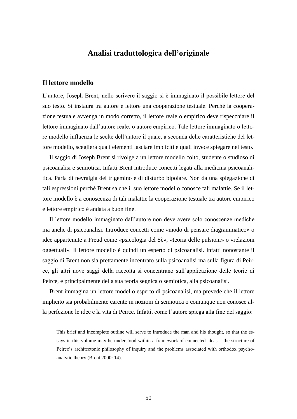## **Analisi traduttologica dell'originale**

#### <span id="page-54-1"></span><span id="page-54-0"></span>**Il lettore modello**

L'autore, Joseph Brent, nello scrivere il saggio si è immaginato il possibile lettore del suo testo. Si instaura tra autore e lettore una cooperazione testuale. Perché la cooperazione testuale avvenga in modo corretto, il lettore reale o empirico deve rispecchiare il lettore immaginato dall'autore reale, o autore empirico. Tale lettore immaginato o lettore modello influenza le scelte dell'autore il quale, a seconda delle caratteristiche del lettore modello, sceglierà quali elementi lasciare impliciti e quali invece spiegare nel testo.

Il saggio di Joseph Brent si rivolge a un lettore modello colto, studente o studioso di psicoanalisi e semiotica. Infatti Brent introduce concetti legati alla medicina psicoanalitica. Parla di nevralgia del trigemino e di disturbo bipolare. Non dà una spiegazione di tali espressioni perché Brent sa che il suo lettore modello conosce tali malattie. Se il lettore modello è a conoscenza di tali malattie la cooperazione testuale tra autore empirico e lettore empirico è andata a buon fine.

Il lettore modello immaginato dall'autore non deve avere solo conoscenze mediche ma anche di psicoanalisi. Introduce concetti come «modo di pensare diagrammatico» o idee appartenute a Freud come «psicologia del Sè», «teoria delle pulsioni» o «relazioni oggettuali». Il lettore modello è quindi un esperto di psicoanalisi. Infatti nonostante il saggio di Brent non sia prettamente incentrato sulla psicoanalisi ma sulla figura di Peirce, gli altri nove saggi della raccolta si concentrano sull'applicazione delle teorie di Peirce, e principalmente della sua teoria segnica o semiotica, alla psicoanalisi.

Brent immagina un lettore modello esperto di psicoanalisi, ma prevede che il lettore implicito sia probabilmente carente in nozioni di semiotica o comunque non conosce alla perfezione le idee e la vita di Peirce. Infatti, come l'autore spiega alla fine del saggio:

This brief and incomplete outline will serve to introduce the man and his thought, so that the essays in this volume may be understood within a framework of connected ideas – the structure of Peirce's architectonic philosophy of inquiry and the problems associated with orthodox psychoanalytic theory (Brent 2000: 14).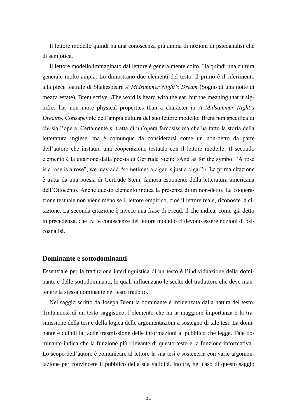Il lettore modello quindi ha una conoscenza più ampia di nozioni di psicoanalisi che di semiotica.

Il lettore modello immaginato dal lettore è generalmente colto. Ha quindi una cultura generale molto ampia. Lo dimostrano due elementi del testo. Il primo è il riferimento alla pièce teatrale di Shakespeare *A Midsummer Night's Dream* (Sogno di una notte di mezza estate). Brent scrive «The word is heard with the ear, but the meaning that it signifies has non more physical properties than a character in *A Midsummer Night's Dream*». Consapevole dell'ampia cultura del suo lettore modello, Brent non specifica di chi sia l'opera. Certamente si tratta di un'opera famosissima che ha fatto la storia della letteratura inglese, ma è comunque da considerarsi come un non-detto da parte dell'autore che instaura una cooperazione testuale con il lettore modello. Il secondo elemento è la citazione dalla poesia di Gertrude Stein: «And as for the symbol "A rose is a rose is a rose", we may add "sometimes a cigar is just a cigar"». La prima citazione è tratta da una poesia di Gertrude Stein, famosa esponente della letteratura americana dell'Ottocento. Anche questo elemento indica la presenza di un non-detto. La cooperazione testuale non viene meno se il lettore empirico, cioè il lettore reale, riconosce la citazione. La seconda citazione è invece una frase di Freud, il che indica, come già detto in precedenza, che tra le conoscenze del lettore modello ci devono essere nozioni di psicoanalisi.

### <span id="page-55-0"></span>**Dominante e sottodominanti**

Essenziale per la traduzione interlinguistica di un testo è l'individuazione della dominante e delle sottodominanti, le quali influenzano le scelte del traduttore che deve mantenere la stessa dominante nel testo tradotto.

Nel saggio scritto da Joseph Brent la dominante è influenzata dalla natura del testo. Trattandosi di un testo saggistico, l'elemento che ha la maggiore importanza è la trasmissione della tesi e della logica delle argomentazioni a sostegno di tale tesi. La dominante è quindi la facile trasmissione delle informazioni al pubblico che legge. Tale dominante indica che la funzione più rilevante di questo testo è la funzione informativa.. Lo scopo dell'autore è comunicare al lettore la sua tesi e sostenerla con varie argomentazione per convincere il pubblico della sua validità. Inoltre, nel caso di questo saggio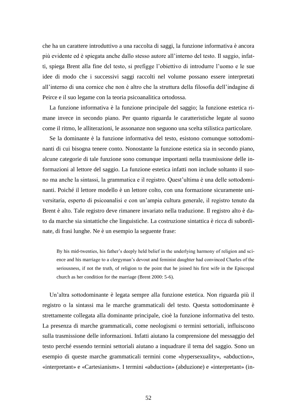che ha un carattere introduttivo a una raccolta di saggi, la funzione informativa è ancora più evidente ed è spiegata anche dallo stesso autore all'interno del testo. Il saggio, infatti, spiega Brent alla fine del testo, si prefigge l'obiettivo di introdurre l'uomo e le sue idee di modo che i successivi saggi raccolti nel volume possano essere interpretati all'interno di una cornice che non è altro che la struttura della filosofia dell'indagine di Peirce e il suo legame con la teoria psicoanalitica ortodossa.

La funzione informativa è la funzione principale del saggio; la funzione estetica rimane invece in secondo piano. Per quanto riguarda le caratteristiche legate al suono come il ritmo, le alliterazioni, le assonanze non seguono una scelta stilistica particolare.

Se la dominante è la funzione informativa del testo, esistono comunque sottodominanti di cui bisogna tenere conto. Nonostante la funzione estetica sia in secondo piano, alcune categorie di tale funzione sono comunque importanti nella trasmissione delle informazioni al lettore del saggio. La funzione estetica infatti non include soltanto il suono ma anche la sintassi, la grammatica e il registro. Quest'ultima è una delle sottodominanti. Poiché il lettore modello è un lettore colto, con una formazione sicuramente universitaria, esperto di psicoanalisi e con un'ampia cultura generale, il registro tenuto da Brent è alto. Tale registro deve rimanere invariato nella traduzione. Il registro alto è dato da marche sia sintattiche che linguistiche. La costruzione sintattica è ricca di subordinate, di frasi lunghe. Ne è un esempio la seguente frase:

By his mid-twenties, his father's deeply held belief in the underlying harmony of religion and science and his marriage to a clergyman's devout and feminist daughter had convinced Charles of the seriousness, if not the truth, of religion to the point that he joined his first wife in the Episcopal church as her condition for the marriage (Brent 2000: 5-6).

Un'altra sottodominante è legata sempre alla funzione estetica. Non riguarda più il registro o la sintassi ma le marche grammaticali del testo. Questa sottodominante è strettamente collegata alla dominante principale, cioè la funzione informativa del testo. La presenza di marche grammaticali, come neologismi o termini settoriali, influiscono sulla trasmissione delle informazioni. Infatti aiutano la comprensione del messaggio del testo perché essendo termini settoriali aiutano a inquadrare il tema del saggio. Sono un esempio di queste marche grammaticali termini come «hypersexuality», «abduction», «interpretant» e «Cartesianism». I termini «abduction» (abduzione) e «interpretant» (in-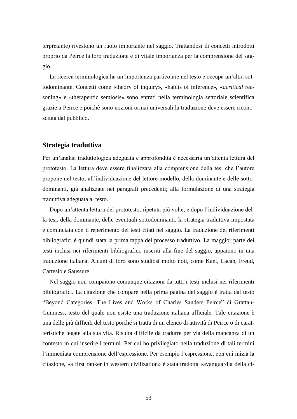terpretante) rivestono un ruolo importante nel saggio. Trattandosi di concetti introdotti proprio da Peirce la loro traduzione è di vitale importanza per la comprensione del saggio.

La ricerca terminologica ha un'importanza particolare nel testo e occupa un'altra sottodominante. Concetti come «theory of inquiry», «habits of inference», «*acritical* reasoning» e «therapeutic semiosis» sono entrati nella terminologia settoriale scientifica grazie a Peirce e poichè sono nozioni ormai universali la traduzione deve essere riconosciuta dal pubblico.

#### <span id="page-57-0"></span>**Strategia traduttiva**

Per un'analisi traduttologica adeguata e approfondita è necessaria un'attenta lettura del prototesto. La lettura deve essere finalizzata alla comprensione della tesi che l'autore propone nel testo; all'individuazione del lettore modello, della dominante e delle sottodominanti, già analizzate nei paragrafi precedenti; alla formulazione di una strategia traduttiva adeguata al testo.

Dopo un'attenta lettura del prototesto, ripetuta più volte, e dopo l'individuazione della tesi, della dominante, delle eventuali sottodominanti, la strategia traduttiva impostata è cominciata con il reperimento dei testi citati nel saggio. La traduzione dei riferimenti bibliografici è quindi stata la prima tappa del processo traduttivo. La maggior parte dei testi inclusi nei riferimenti bibliografici, inseriti alla fine del saggio, appaiono in una traduzione italiana. Alcuni di loro sono studiosi molto noti, come Kant, Lacan, Freud, Cartesio e Saussure.

Nel saggio non compaiono comunque citazioni da tutti i testi inclusi nei riferimenti bibliografici. La citazione che compare nella prima pagina del saggio è tratta dal testo "Beyond Categories: The Lives and Works of Charles Sanders Peirce" di Grattan-Guinness, testo del quale non esiste una traduzione italiana ufficiale. Tale citazione è una delle più difficili del testo poiché si tratta di un elenco di attività di Peirce o di caratteristiche legate alla sua vita. Risulta difficile da tradurre per via della mancanza di un contesto in cui inserire i termini. Per cui ho privilegiato nella traduzione di tali termini l'immediata comprensione dell'espressione. Per esempio l'espressione, con cui inizia la citazione, «a first ranker in western civilization» è stata tradotta «avanguardia della ci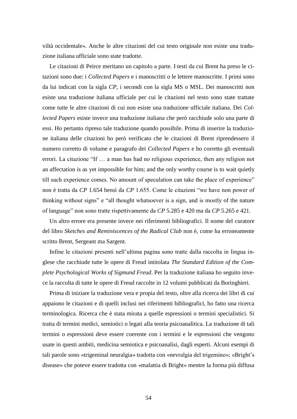viltà occidentale». Anche le altre citazioni del cui testo originale non esiste una traduzione italiana ufficiale sono state tradotte.

Le citazioni di Peirce meritano un capitolo a parte. I testi da cui Brent ha preso le citazioni sono due: i *Collected Papers* e i manoscritti o le lettere manoscritte. I primi sono da lui indicati con la sigla *CP*, i secondi con la sigla MS o MSL. Dei manoscritti non esiste una traduzione italiana ufficiale per cui le citazioni nel testo sono state trattate come tutte le altre citazioni di cui non esiste una traduzione ufficiale italiana. Dei *Collected Papers* esiste invece una traduzione italiana che però racchiude solo una parte di essi. Ho pertanto ripreso tale traduzione quando possibile. Prima di inserire la traduzione italiana delle citazioni ho però verificato che le citazioni di Brent riprendessero il numero corretto di volume e paragrafo dei *Collected Papers* e ho corretto gli eventuali errori. La citazione "If … a man has had no religious experience, then any religion not an affectation is as yet impossible for him; and the only worthy course is to wait quietly till such experience comes. No amount of speculation can take the place of experience" non è tratta da *CP* 1.654 bensì da *CP* 1.655. Come le citazioni "we have non power of thinking without signs" e "all thought whatsoever is a sign, and is mostly of the nature of language" non sono tratte rispettivamente da *CP* 5.285 e 420 ma da *CP* 5.265 e 421.

Un altro errore era presente invece nei riferimenti bibliografici. Il nome del curatore del libro *Sketches and Reminiscences of the Radical Club* non è, come ha erroneamente scritto Brent, Sergeant ma Sargent.

Infine le citazioni presenti nell'ultima pagina sono tratte dalla raccolta in lingua inglese che racchiude tutte le opere di Freud intitolata *The Standard Edition of the Complete Psychological Works of Sigmund Freud*. Per la traduzione italiana ho seguito invece la raccolta di tutte le opere di Freud raccolte in 12 volumi pubblicati da Boringhieri.

Prima di iniziare la traduzione vera e propia del testo, oltre alla ricerca dei libri di cui appaiono le citazioni e di quelli inclusi nei riferimenti bibliografici, ho fatto una ricerca terminologica. Ricerca che è stata mirata a quelle espressioni o termini specialistici. Si tratta di termini medici, semiotici o legati alla teoria psicoanalitica. La traduzione di tali termini o espressioni deve essere coerente con i termini e le espressioni che vengono usate in questi ambiti, medicina semiotica e psicoanalisi, dagli esperti. Alcuni esempi di tali parole sono «trigeminal neuralgia» tradotta con «nevralgia del trigemino»; «Bright's disease» che poteve essere tradotta con «malattia di Bright» mentre la forma più diffusa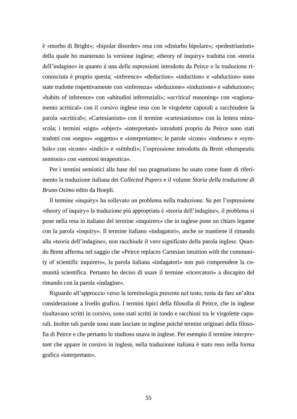è «morbo di Bright»; «bipolar disorder» resa con «disturbo bipolare»; «pedestrianism» della quale ho mantenuto la versione inglese; «theory of inquiry» tradotta con «teoria dell'indagine» in quanto è una delle espressioni introdotte da Peirce e la traduzione riconosciuta è proprio questa; «inference» «deduction» «induction» e «abduction» sono state tradotte rispettivamente con «inferenza» «deduzione» «induzione» e «abduzione»; «habits of inference» con «abitudini inferenziali»; «*acritical* reasoning» con «ragionamento acritical» con il corsivo inglese reso con le virgolette caporali a racchiudere la parola «acritical»; «Cartesianism» con il termine «cartesianismo» con la lettera minuscola; i termini «sign» «object» «interpretant» introdotti proprio da Peirce sono stati tradotti con «segno» «oggetto» e «interpretante»; le parole «icons» «indexes» e «symbols» con «icone» «indici» e «simboli»; l'espressione introdotta da Brent «therapeutic semiosis» con «semiosi terapeutica».

Per i termini semiotici alla base del suo pragmatismo ho usato come fonte di riferimento la traduzione italiana dei *Collected Papers* e il volume *Storia della traduzione di Bruno Osimo* edito da Hoepli.

Il termine «inquiry» ha sollevato un problema nella traduzione. Se per l'espressione «theory of inquiry» la traduzione più appropriata è «teoria dell'indagine», il problema si pone nella resa in italiano del termine «inquirers» che in inglese pone un chiaro legame con la parola «inquiry». Il termine italiano «indagatori», anche se mantiene il rimando alla «teoria dell'indagine», non racchiude il vero significato della parola inglese. Quando Brent afferma nel saggio che «Peirce replaces Cartesian intuition with the community of scientific inquirers», la parola italiana «indagatori» non può comprendere la comunità scientifica. Pertanto ho deciso di usare il termine «ricercatori» a discapito del rimando con la parola «indagine».

Riguardo all'approccio verso la terminologia presente nel testo, resta da fare un'altra considerazione a livello grafico. I termini tipici della filosofia di Peirce, che in inglese risultavano scritti in corsivo, sono stati scritti in tondo e racchiusi tra le virgolette caporali. Inoltre tali parole sono state lasciate in inglese poiché termini originari della filosofia di Peirce e che pertanto lo studioso usava in inglese. Per esempio il termine *interpretant* che appare in corsivo in inglese, nella traduzione italiana è stato reso nella forma grafica «interpretant».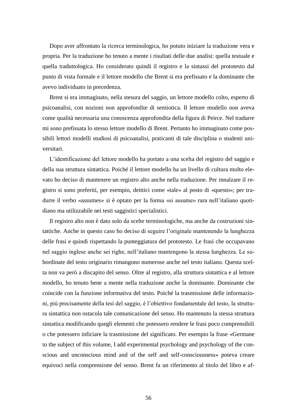Dopo aver affrontato la ricerca terminologica, ho potuto iniziare la traduzione vera e propria. Per la traduzione ho tenuto a mente i risultati delle due analisi: quella testuale e quella traduttologica. Ho considerato quindi il registro e la sintassi del prototesto dal punto di vista formale e il lettore modello che Brent si era prefissato e la dominante che avevo individuato in precedenza.

Brent si era immaginato, nella stesura del saggio, un lettore modello colto, esperto di psicoanalisi, con nozioni non approfondite di semiotica. Il lettore modello non aveva come qualità necessaria una conoscenza approfondita della figura di Peirce. Nel tradurre mi sono prefissata lo stesso lettore modello di Brent. Pertanto ho immaginato come possibili lettori modelli studiosi di psicoanalisi, praticanti di tale disciplina o studenti universitari.

L'identificazione del lettore modello ha portato a una scelta del registro del saggio e della sua struttura sintattica. Poiché il lettore modello ha un livello di cultura molto elevato ho deciso di mantenere un registro alto anche nella traduzione. Per innalzare il registro si sono preferiti, per esempio, deittici come «tale» al posto di «questo»; per tradurre il verbo «assumes» si è optato per la forma «si assume» rara nell'italiano quotidiano ma utilizzabile nei testi saggistici specialistici.

Il registro alto non è dato solo da scelte terminologiche, ma anche da costruzioni sintattiche. Anche in questo caso ho deciso di seguire l'originale mantenendo la lunghezza delle frasi e quindi rispettando la punteggiatura del prototesto. Le frasi che occupavano nel saggio inglese anche sei righe, nell'italiano mantengono la stessa lunghezza. Le subordinate del testo originario rimangono numerose anche nel testo italiano. Questa scelta non va però a discapito del senso. Oltre al registro, alla struttura sintattica e al lettore modello, ho tenuto bene a mente nella traduzione anche la dominante. Dominante che coincide con la funzione informativa del testo. Poiché la trasmissione delle informazioni, più precisamente della tesi del saggio, è l'obiettivo fondamentale del testo, la struttura sintattica non ostacola tale comunicazione del senso. Ho mantenuto la stessa struttura sintattica modificando quegli elementi che potessero rendere le frasi poco comprensibili o che potessero inficiare la trasmissione del significato. Per esempio la frase «Germane to the subject of this volume, I add experimental psychology and psychology of the conscious and unconscious mind and of the self and self-consciousness» poteva creare equivoci nella comprensione del senso. Brent fa un riferimento al titolo del libro e af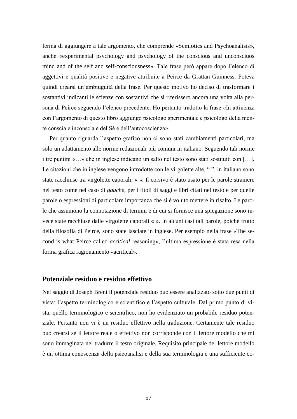ferma di aggiungere a tale argomento, che comprende «Semiotics and Psychoanalisis», anche «experimental psychology and psychology of the conscious and unconsciuos mind and of the self and self-consciousness». Tale frase però appare dopo l'elenco di aggettivi e qualità positive e negative attribuite a Peirce da Grattan-Guinness. Poteva quindi crearsi un'ambiuguità della frase. Per questo motivo ho deciso di trasformare i sostantivi indicanti le scienze con sostantivi che si riferissero ancora una volta alla persona di Peirce seguendo l'elenco precedente. Ho pertanto tradotto la frase «In attinenza con l'argomento di questo libro aggiungo psicologo sperimentale e psicologo della mente conscia e inconscia e del Sè e dell'autocoscienza».

Per quanto riguarda l'aspetto grafico non ci sono stati cambiamenti particolari, ma solo un adattamento alle norme redazionali più comuni in italiano. Seguendo tali norme i tre puntini «…» che in inglese indicano un salto nel testo sono stati sostituiti con […]. Le citazioni che in inglese vengono introdotte con le virgolette alte, "", in italiano sono state racchiuse tra virgolette caporali, « ». Il corsivo è stato usato per le parole straniere nel testo come nel caso di *gauche*, per i titoli di saggi e libri citati nel testo e per quelle parole o espressioni di particolare importanza che si è voluto mettere in risalto. Le parole che assumono la connotazione di termini e di cui si fornisce una spiegazione sono invece state racchiuse dalle virgolette caporali « ». In alcuni casi tali parole, poiché frutto della filosofia di Peirce, sono state lasciate in inglese. Per esempio nella frase «The second is what Peirce called *acritical* reasoning», l'ultima espressione è stata resa nella forma grafica ragionamento «acritical».

#### <span id="page-61-0"></span>**Potenziale residuo e residuo effettivo**

Nel saggio di Joseph Brent il potenziale residuo può essere analizzato sotto due punti di vista: l'aspetto terminologico e scientifico e l'aspetto culturale. Dal primo punto di vista, quello terminologico e scientifico, non ho evidenziato un probabile residuo potenziale. Pertanto non vi è un residuo effettivo nella traduzione. Certamente tale residuo può crearsi se il lettore reale o effettivo non corrisponde con il lettore modello che mi sono immaginata nel tradurre il testo originale. Requisito principale del lettore modello è un'ottima conoscenza della psicoanalisi e della sua terminologia e una sufficiente co-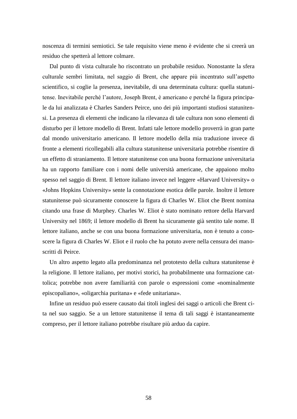noscenza di termini semiotici. Se tale requisito viene meno è evidente che si creerà un residuo che spetterà al lettore colmare.

Dal punto di vista culturale ho riscontrato un probabile residuo. Nonostante la sfera culturale sembri limitata, nel saggio di Brent, che appare più incentrato sull'aspetto scientifico, si coglie la presenza, inevitabile, di una determinata cultura: quella statunitense. Inevitabile perché l'autore, Joseph Brent, è americano e perché la figura principale da lui analizzata è Charles Sanders Peirce, uno dei più importanti studiosi statunitensi. La presenza di elementi che indicano la rilevanza di tale cultura non sono elementi di disturbo per il lettore modello di Brent. Infatti tale lettore modello proverrà in gran parte dal mondo universitario americano. Il lettore modello della mia traduzione invece di fronte a elementi ricollegabili alla cultura statunitense universitaria potrebbe risentire di un effetto di straniamento. Il lettore statunitense con una buona formazione universitaria ha un rapporto familiare con i nomi delle università americane, che appaiono molto spesso nel saggio di Brent. Il lettore italiano invece nel leggere «Harvard University» o «Johns Hopkins University» sente la connotazione esotica delle parole. Inoltre il lettore statunitense può sicuramente conoscere la figura di Charles W. Eliot che Brent nomina citando una frase di Murphey. Charles W. Eliot è stato nominato rettore della Harvard University nel 1869; il lettore modello di Brent ha sicuramente già sentito tale nome. Il lettore italiano, anche se con una buona formazione universitaria, non è tenuto a conoscere la figura di Charles W. Eliot e il ruolo che ha potuto avere nella censura dei manoscritti di Peirce.

Un altro aspetto legato alla predominanza nel prototesto della cultura statunitense è la religione. Il lettore italiano, per motivi storici, ha probabilmente una formazione cattolica; potrebbe non avere familiarità con parole o espressioni come «nominalmente episcopaliano», «oligarchia puritana» e «fede unitariana».

Infine un residuo può essere causato dai titoli inglesi dei saggi o articoli che Brent cita nel suo saggio. Se a un lettore statunitense il tema di tali saggi è istantaneamente compreso, per il lettore italiano potrebbe risultare più arduo da capire.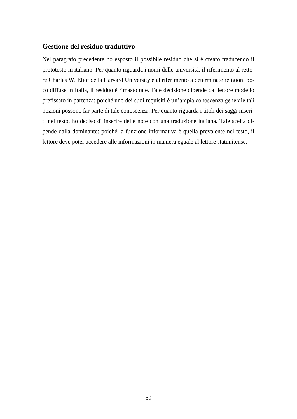## <span id="page-63-0"></span>**Gestione del residuo traduttivo**

Nel paragrafo precedente ho esposto il possibile residuo che si è creato traducendo il prototesto in italiano. Per quanto riguarda i nomi delle università, il riferimento al rettore Charles W. Eliot della Harvard University e al riferimento a determinate religioni poco diffuse in Italia, il residuo è rimasto tale. Tale decisione dipende dal lettore modello prefissato in partenza: poiché uno dei suoi requisiti è un'ampia conoscenza generale tali nozioni possono far parte di tale conoscenza. Per quanto riguarda i titoli dei saggi inseriti nel testo, ho deciso di inserire delle note con una traduzione italiana. Tale scelta dipende dalla dominante: poiché la funzione informativa è quella prevalente nel testo, il lettore deve poter accedere alle informazioni in maniera eguale al lettore statunitense.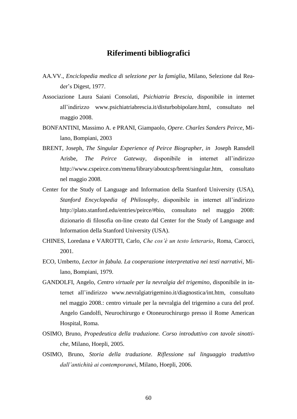## **Riferimenti bibliografici**

- <span id="page-64-0"></span>AA.VV., *Enciclopedia medica di selezione per la famiglia*, Milano, Selezione dal Reader's Digest, 1977.
- Associazione Laura Saiani Consolati, *Psichiatria Brescia*, disponibile in internet all'indirizzo www.psichiatriabrescia.it/disturbobipolare.html, consultato nel maggio 2008.
- BONFANTINI, Massimo A. e PRANI, Giampaolo, *Opere*. *Charles Sanders Peirce*, Milano, Bompiani, 2003
- BRENT, Joseph, *The Singular Experience of Peirce Biographer, in* Joseph Ransdell Arisbe, *The Peirce Gateway*, disponibile in internet all'indirizzo http://www.cspeirce.com/menu/library/aboutcsp/brent/singular.htm, consultato nel maggio 2008.
- Center for the Study of Language and Information della Stanford University (USA), *Stanford Encyclopedia of Philosophy*, disponibile in internet all'indirizzo http://plato.stanford.edu/entries/peirce/#bio, consultato nel maggio 2008: dizionario di filosofia on-line creato dal Center for the Study of Language and Information della Stanford University (USA).
- CHINES, Loredana e VAROTTI, Carlo, *Che cos'è un testo letterario*, Roma, Carocci, 2001.
- ECO, Umberto, *Lector in fabula. La cooperazione interpretativa nei testi narrativi*, Milano, Bompiani, 1979.
- GANDOLFI, Angelo, *Centro virtuale per la nevralgia del trigemino*, disponibile in internet all'indirizzo www.nevralgiatrigemino.it/diagnostica/int.htm, consultato nel maggio 2008.: centro virtuale per la nevralgia del trigemino a cura del prof. Angelo Gandolfi, Neurochirurgo e Otoneurochirurgo presso il Rome American Hospital, Roma.
- OSIMO, Bruno, *Propedeutica della traduzione. Corso introduttivo con tavole sinottiche*, Milano, Hoepli, 2005.
- OSIMO, Bruno, *Storia della traduzione. Riflessione sul linguaggio traduttivo dall'antichità ai contemporane*i, Milano, Hoepli, 2006.